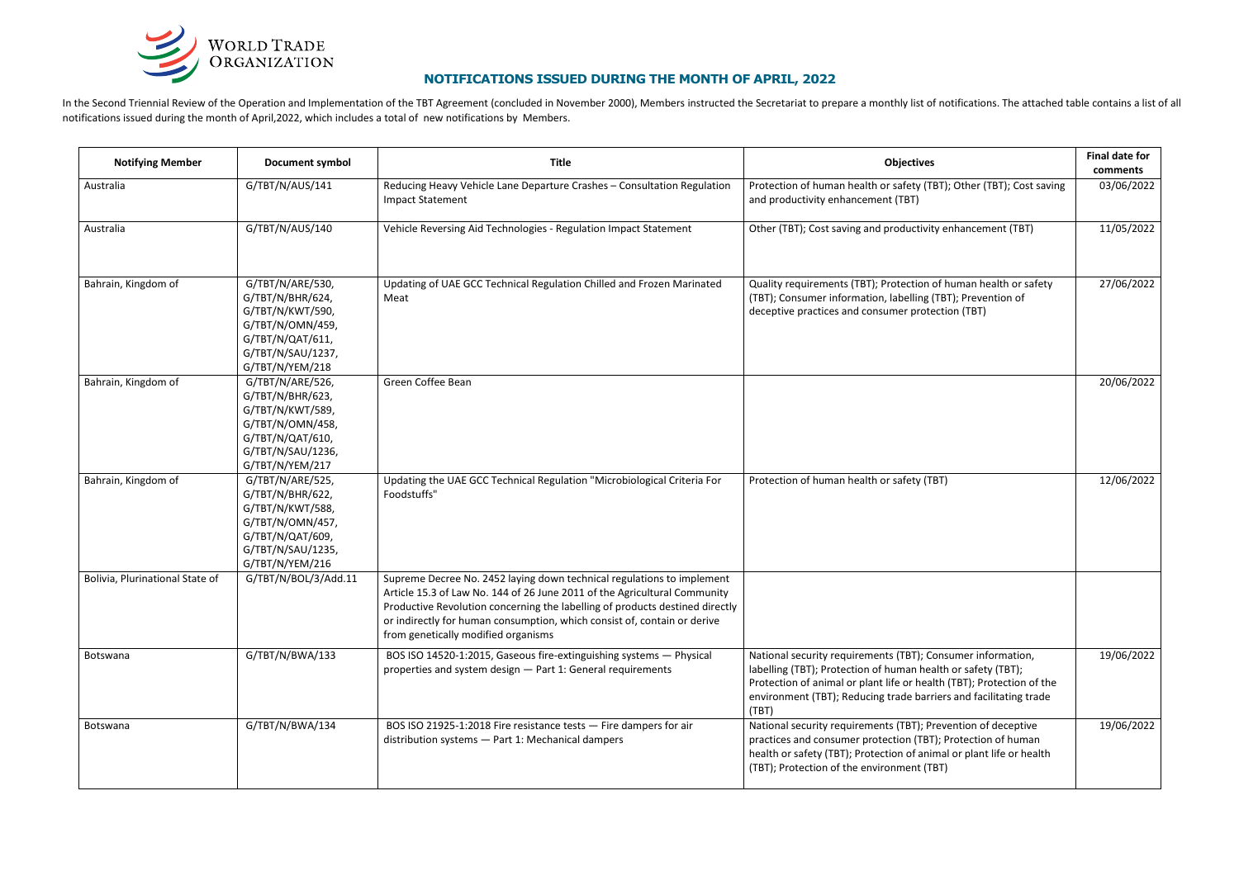| <b>Notifying Member</b>         | <b>Document symbol</b>                                                                                                                   | <b>Title</b>                                                                                                                                                                                                                                                                                                                                           | <b>Objectives</b>                                                                                                                                                                                                                                                                  | <b>Final date for</b><br>comments |
|---------------------------------|------------------------------------------------------------------------------------------------------------------------------------------|--------------------------------------------------------------------------------------------------------------------------------------------------------------------------------------------------------------------------------------------------------------------------------------------------------------------------------------------------------|------------------------------------------------------------------------------------------------------------------------------------------------------------------------------------------------------------------------------------------------------------------------------------|-----------------------------------|
| Australia                       | G/TBT/N/AUS/141                                                                                                                          | Reducing Heavy Vehicle Lane Departure Crashes - Consultation Regulation<br><b>Impact Statement</b>                                                                                                                                                                                                                                                     | Protection of human health or safety (TBT); Other (TBT); Cost saving<br>and productivity enhancement (TBT)                                                                                                                                                                         | 03/06/2022                        |
| Australia                       | G/TBT/N/AUS/140                                                                                                                          | Vehicle Reversing Aid Technologies - Regulation Impact Statement                                                                                                                                                                                                                                                                                       | Other (TBT); Cost saving and productivity enhancement (TBT)                                                                                                                                                                                                                        | 11/05/2022                        |
| Bahrain, Kingdom of             | G/TBT/N/ARE/530,<br>G/TBT/N/BHR/624,<br>G/TBT/N/KWT/590,<br>G/TBT/N/OMN/459,<br>G/TBT/N/QAT/611,<br>G/TBT/N/SAU/1237,<br>G/TBT/N/YEM/218 | Updating of UAE GCC Technical Regulation Chilled and Frozen Marinated<br>Meat                                                                                                                                                                                                                                                                          | Quality requirements (TBT); Protection of human health or safety<br>(TBT); Consumer information, labelling (TBT); Prevention of<br>deceptive practices and consumer protection (TBT)                                                                                               | 27/06/2022                        |
| Bahrain, Kingdom of             | G/TBT/N/ARE/526,<br>G/TBT/N/BHR/623,<br>G/TBT/N/KWT/589,<br>G/TBT/N/OMN/458,<br>G/TBT/N/QAT/610,<br>G/TBT/N/SAU/1236,<br>G/TBT/N/YEM/217 | Green Coffee Bean                                                                                                                                                                                                                                                                                                                                      |                                                                                                                                                                                                                                                                                    | 20/06/2022                        |
| Bahrain, Kingdom of             | G/TBT/N/ARE/525,<br>G/TBT/N/BHR/622,<br>G/TBT/N/KWT/588,<br>G/TBT/N/OMN/457,<br>G/TBT/N/QAT/609,<br>G/TBT/N/SAU/1235,<br>G/TBT/N/YEM/216 | Updating the UAE GCC Technical Regulation "Microbiological Criteria For<br>Foodstuffs"                                                                                                                                                                                                                                                                 | Protection of human health or safety (TBT)                                                                                                                                                                                                                                         | 12/06/2022                        |
| Bolivia, Plurinational State of | G/TBT/N/BOL/3/Add.11                                                                                                                     | Supreme Decree No. 2452 laying down technical regulations to implement<br>Article 15.3 of Law No. 144 of 26 June 2011 of the Agricultural Community<br>Productive Revolution concerning the labelling of products destined directly<br>or indirectly for human consumption, which consist of, contain or derive<br>from genetically modified organisms |                                                                                                                                                                                                                                                                                    |                                   |
| Botswana                        | G/TBT/N/BWA/133                                                                                                                          | BOS ISO 14520-1:2015, Gaseous fire-extinguishing systems - Physical<br>properties and system design - Part 1: General requirements                                                                                                                                                                                                                     | National security requirements (TBT); Consumer information,<br>labelling (TBT); Protection of human health or safety (TBT);<br>Protection of animal or plant life or health (TBT); Protection of the<br>environment (TBT); Reducing trade barriers and facilitating trade<br>(TBT) | 19/06/2022                        |
| Botswana                        | G/TBT/N/BWA/134                                                                                                                          | BOS ISO 21925-1:2018 Fire resistance tests - Fire dampers for air<br>distribution systems - Part 1: Mechanical dampers                                                                                                                                                                                                                                 | National security requirements (TBT); Prevention of deceptive<br>practices and consumer protection (TBT); Protection of human<br>health or safety (TBT); Protection of animal or plant life or health<br>(TBT); Protection of the environment (TBT)                                | 19/06/2022                        |

In the Second Triennial Review of the Operation and Implementation of the TBT Agreement (concluded in November 2000), Members instructed the Secretariat to prepare a monthly list of notifications. The attached table contai notifications issued during the month of April,2022, which includes a total of new notifications by Members.



## **NOTIFICATIONS ISSUED DURING THE MONTH OF APRIL, 2022**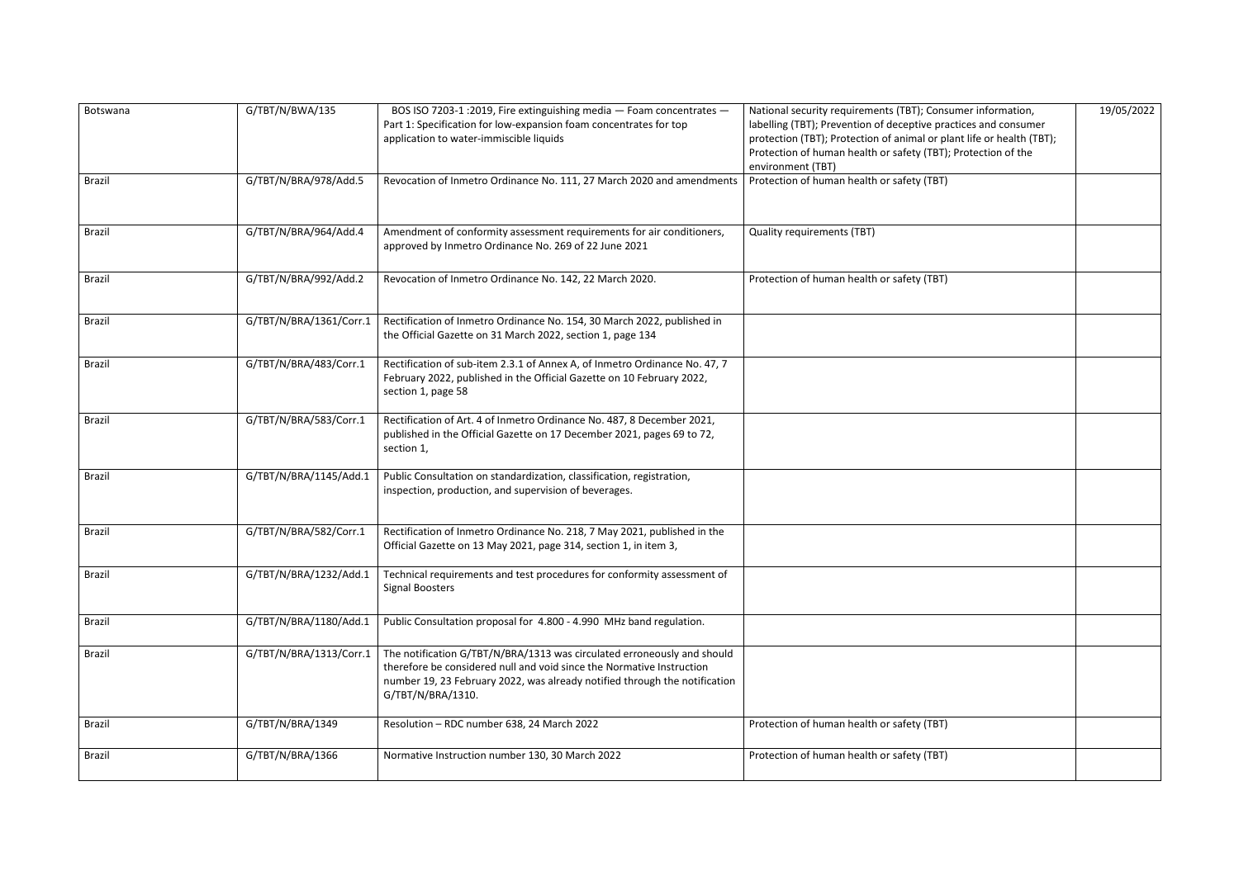| Botswana      | G/TBT/N/BWA/135         | BOS ISO 7203-1 :2019, Fire extinguishing media - Foam concentrates -<br>Part 1: Specification for low-expansion foam concentrates for top<br>application to water-immiscible liquids                                                                | National security requirements (TBT); Consumer information,<br>labelling (TBT); Prevention of deceptive practices and consumer<br>protection (TBT); Protection of animal or plant life or health (TBT);<br>Protection of human health or safety (TBT); Protection of the<br>environment (TBT) | 19/05/2022 |
|---------------|-------------------------|-----------------------------------------------------------------------------------------------------------------------------------------------------------------------------------------------------------------------------------------------------|-----------------------------------------------------------------------------------------------------------------------------------------------------------------------------------------------------------------------------------------------------------------------------------------------|------------|
| <b>Brazil</b> | G/TBT/N/BRA/978/Add.5   | Revocation of Inmetro Ordinance No. 111, 27 March 2020 and amendments                                                                                                                                                                               | Protection of human health or safety (TBT)                                                                                                                                                                                                                                                    |            |
| <b>Brazil</b> | G/TBT/N/BRA/964/Add.4   | Amendment of conformity assessment requirements for air conditioners,<br>approved by Inmetro Ordinance No. 269 of 22 June 2021                                                                                                                      | <b>Quality requirements (TBT)</b>                                                                                                                                                                                                                                                             |            |
| <b>Brazil</b> | G/TBT/N/BRA/992/Add.2   | Revocation of Inmetro Ordinance No. 142, 22 March 2020.                                                                                                                                                                                             | Protection of human health or safety (TBT)                                                                                                                                                                                                                                                    |            |
| <b>Brazil</b> | G/TBT/N/BRA/1361/Corr.1 | Rectification of Inmetro Ordinance No. 154, 30 March 2022, published in<br>the Official Gazette on 31 March 2022, section 1, page 134                                                                                                               |                                                                                                                                                                                                                                                                                               |            |
| <b>Brazil</b> | G/TBT/N/BRA/483/Corr.1  | Rectification of sub-item 2.3.1 of Annex A, of Inmetro Ordinance No. 47, 7<br>February 2022, published in the Official Gazette on 10 February 2022,<br>section 1, page 58                                                                           |                                                                                                                                                                                                                                                                                               |            |
| <b>Brazil</b> | G/TBT/N/BRA/583/Corr.1  | Rectification of Art. 4 of Inmetro Ordinance No. 487, 8 December 2021,<br>published in the Official Gazette on 17 December 2021, pages 69 to 72,<br>section 1,                                                                                      |                                                                                                                                                                                                                                                                                               |            |
| <b>Brazil</b> | G/TBT/N/BRA/1145/Add.1  | Public Consultation on standardization, classification, registration,<br>inspection, production, and supervision of beverages.                                                                                                                      |                                                                                                                                                                                                                                                                                               |            |
| <b>Brazil</b> | G/TBT/N/BRA/582/Corr.1  | Rectification of Inmetro Ordinance No. 218, 7 May 2021, published in the<br>Official Gazette on 13 May 2021, page 314, section 1, in item 3,                                                                                                        |                                                                                                                                                                                                                                                                                               |            |
| <b>Brazil</b> | G/TBT/N/BRA/1232/Add.1  | Technical requirements and test procedures for conformity assessment of<br><b>Signal Boosters</b>                                                                                                                                                   |                                                                                                                                                                                                                                                                                               |            |
| <b>Brazil</b> | G/TBT/N/BRA/1180/Add.1  | Public Consultation proposal for 4.800 - 4.990 MHz band regulation.                                                                                                                                                                                 |                                                                                                                                                                                                                                                                                               |            |
| <b>Brazil</b> | G/TBT/N/BRA/1313/Corr.1 | The notification G/TBT/N/BRA/1313 was circulated erroneously and should<br>therefore be considered null and void since the Normative Instruction<br>number 19, 23 February 2022, was already notified through the notification<br>G/TBT/N/BRA/1310. |                                                                                                                                                                                                                                                                                               |            |
| <b>Brazil</b> | G/TBT/N/BRA/1349        | Resolution - RDC number 638, 24 March 2022                                                                                                                                                                                                          | Protection of human health or safety (TBT)                                                                                                                                                                                                                                                    |            |
| <b>Brazil</b> | G/TBT/N/BRA/1366        | Normative Instruction number 130, 30 March 2022                                                                                                                                                                                                     | Protection of human health or safety (TBT)                                                                                                                                                                                                                                                    |            |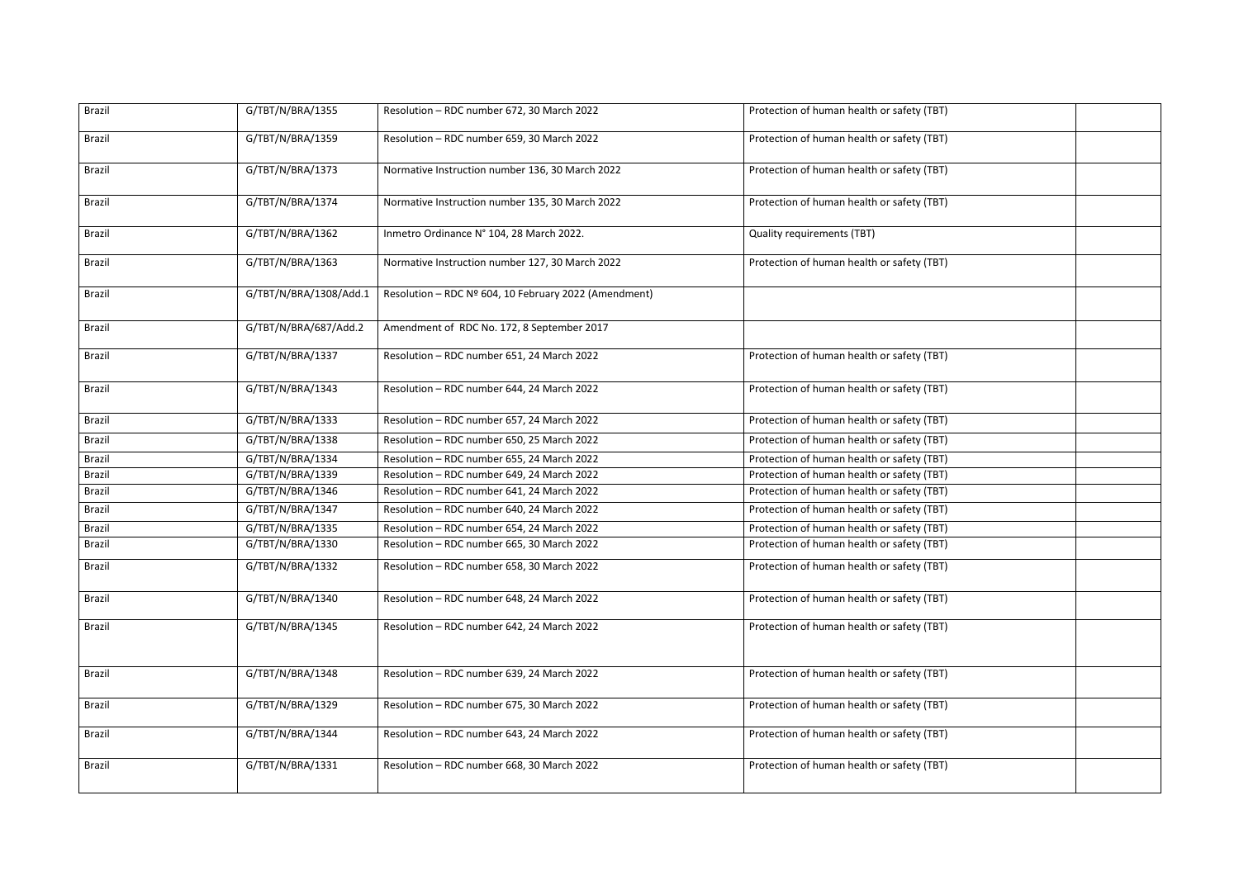| Brazil | G/TBT/N/BRA/1355       | Resolution - RDC number 672, 30 March 2022            | Protection of human health or safety (TBT) |
|--------|------------------------|-------------------------------------------------------|--------------------------------------------|
| Brazil | G/TBT/N/BRA/1359       | Resolution - RDC number 659, 30 March 2022            | Protection of human health or safety (TBT) |
| Brazil | G/TBT/N/BRA/1373       | Normative Instruction number 136, 30 March 2022       | Protection of human health or safety (TBT) |
| Brazil | G/TBT/N/BRA/1374       | Normative Instruction number 135, 30 March 2022       | Protection of human health or safety (TBT) |
| Brazil | G/TBT/N/BRA/1362       | Inmetro Ordinance N° 104, 28 March 2022.              | <b>Quality requirements (TBT)</b>          |
| Brazil | G/TBT/N/BRA/1363       | Normative Instruction number 127, 30 March 2022       | Protection of human health or safety (TBT) |
| Brazil | G/TBT/N/BRA/1308/Add.1 | Resolution - RDC Nº 604, 10 February 2022 (Amendment) |                                            |
| Brazil | G/TBT/N/BRA/687/Add.2  | Amendment of RDC No. 172, 8 September 2017            |                                            |
| Brazil | G/TBT/N/BRA/1337       | Resolution - RDC number 651, 24 March 2022            | Protection of human health or safety (TBT) |
| Brazil | G/TBT/N/BRA/1343       | Resolution - RDC number 644, 24 March 2022            | Protection of human health or safety (TBT) |
| Brazil | G/TBT/N/BRA/1333       | Resolution - RDC number 657, 24 March 2022            | Protection of human health or safety (TBT) |
| Brazil | G/TBT/N/BRA/1338       | Resolution - RDC number 650, 25 March 2022            | Protection of human health or safety (TBT) |
| Brazil | G/TBT/N/BRA/1334       | Resolution - RDC number 655, 24 March 2022            | Protection of human health or safety (TBT) |
| Brazil | G/TBT/N/BRA/1339       | Resolution - RDC number 649, 24 March 2022            | Protection of human health or safety (TBT) |
| Brazil | G/TBT/N/BRA/1346       | Resolution - RDC number 641, 24 March 2022            | Protection of human health or safety (TBT) |
| Brazil | G/TBT/N/BRA/1347       | Resolution - RDC number 640, 24 March 2022            | Protection of human health or safety (TBT) |
| Brazil | G/TBT/N/BRA/1335       | Resolution - RDC number 654, 24 March 2022            | Protection of human health or safety (TBT) |
| Brazil | G/TBT/N/BRA/1330       | Resolution - RDC number 665, 30 March 2022            | Protection of human health or safety (TBT) |
| Brazil | G/TBT/N/BRA/1332       | Resolution - RDC number 658, 30 March 2022            | Protection of human health or safety (TBT) |
| Brazil | G/TBT/N/BRA/1340       | Resolution - RDC number 648, 24 March 2022            | Protection of human health or safety (TBT) |
| Brazil | G/TBT/N/BRA/1345       | Resolution - RDC number 642, 24 March 2022            | Protection of human health or safety (TBT) |
| Brazil | G/TBT/N/BRA/1348       | Resolution - RDC number 639, 24 March 2022            | Protection of human health or safety (TBT) |
| Brazil | G/TBT/N/BRA/1329       | Resolution - RDC number 675, 30 March 2022            | Protection of human health or safety (TBT) |
| Brazil | G/TBT/N/BRA/1344       | Resolution - RDC number 643, 24 March 2022            | Protection of human health or safety (TBT) |
| Brazil | G/TBT/N/BRA/1331       | Resolution - RDC number 668, 30 March 2022            | Protection of human health or safety (TBT) |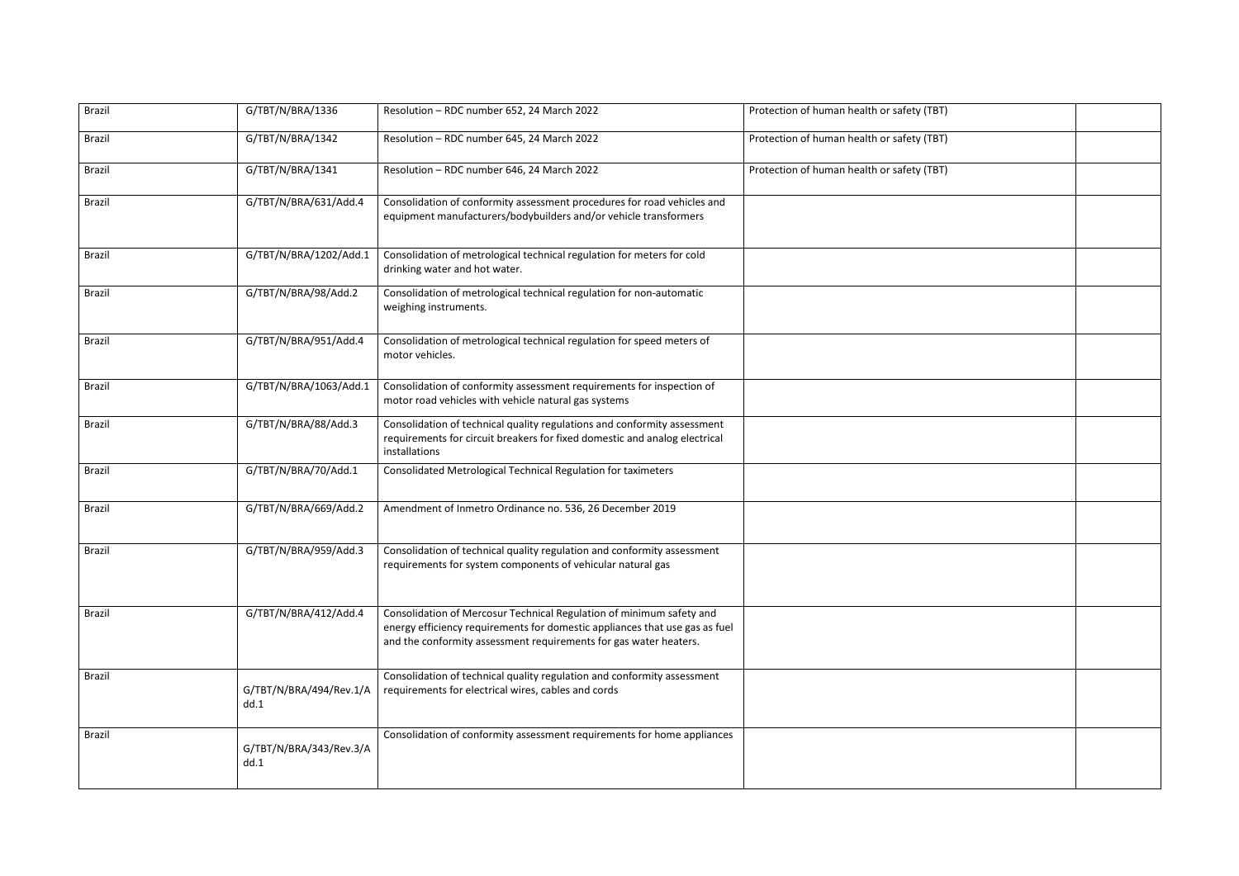| Brazil | G/TBT/N/BRA/1336                | Resolution - RDC number 652, 24 March 2022                                                                                                                                                                               | Protection of human health or safety (TBT) |
|--------|---------------------------------|--------------------------------------------------------------------------------------------------------------------------------------------------------------------------------------------------------------------------|--------------------------------------------|
| Brazil | G/TBT/N/BRA/1342                | Resolution - RDC number 645, 24 March 2022                                                                                                                                                                               | Protection of human health or safety (TBT) |
| Brazil | G/TBT/N/BRA/1341                | Resolution - RDC number 646, 24 March 2022                                                                                                                                                                               | Protection of human health or safety (TBT) |
| Brazil | G/TBT/N/BRA/631/Add.4           | Consolidation of conformity assessment procedures for road vehicles and<br>equipment manufacturers/bodybuilders and/or vehicle transformers                                                                              |                                            |
| Brazil | G/TBT/N/BRA/1202/Add.1          | Consolidation of metrological technical regulation for meters for cold<br>drinking water and hot water.                                                                                                                  |                                            |
| Brazil | G/TBT/N/BRA/98/Add.2            | Consolidation of metrological technical regulation for non-automatic<br>weighing instruments.                                                                                                                            |                                            |
| Brazil | G/TBT/N/BRA/951/Add.4           | Consolidation of metrological technical regulation for speed meters of<br>motor vehicles.                                                                                                                                |                                            |
| Brazil | G/TBT/N/BRA/1063/Add.1          | Consolidation of conformity assessment requirements for inspection of<br>motor road vehicles with vehicle natural gas systems                                                                                            |                                            |
| Brazil | G/TBT/N/BRA/88/Add.3            | Consolidation of technical quality regulations and conformity assessment<br>requirements for circuit breakers for fixed domestic and analog electrical<br>installations                                                  |                                            |
| Brazil | G/TBT/N/BRA/70/Add.1            | Consolidated Metrological Technical Regulation for taximeters                                                                                                                                                            |                                            |
| Brazil | G/TBT/N/BRA/669/Add.2           | Amendment of Inmetro Ordinance no. 536, 26 December 2019                                                                                                                                                                 |                                            |
| Brazil | G/TBT/N/BRA/959/Add.3           | Consolidation of technical quality regulation and conformity assessment<br>requirements for system components of vehicular natural gas                                                                                   |                                            |
| Brazil | G/TBT/N/BRA/412/Add.4           | Consolidation of Mercosur Technical Regulation of minimum safety and<br>energy efficiency requirements for domestic appliances that use gas as fuel<br>and the conformity assessment requirements for gas water heaters. |                                            |
| Brazil | G/TBT/N/BRA/494/Rev.1/A<br>dd.1 | Consolidation of technical quality regulation and conformity assessment<br>requirements for electrical wires, cables and cords                                                                                           |                                            |
| Brazil | G/TBT/N/BRA/343/Rev.3/A<br>dd.1 | Consolidation of conformity assessment requirements for home appliances                                                                                                                                                  |                                            |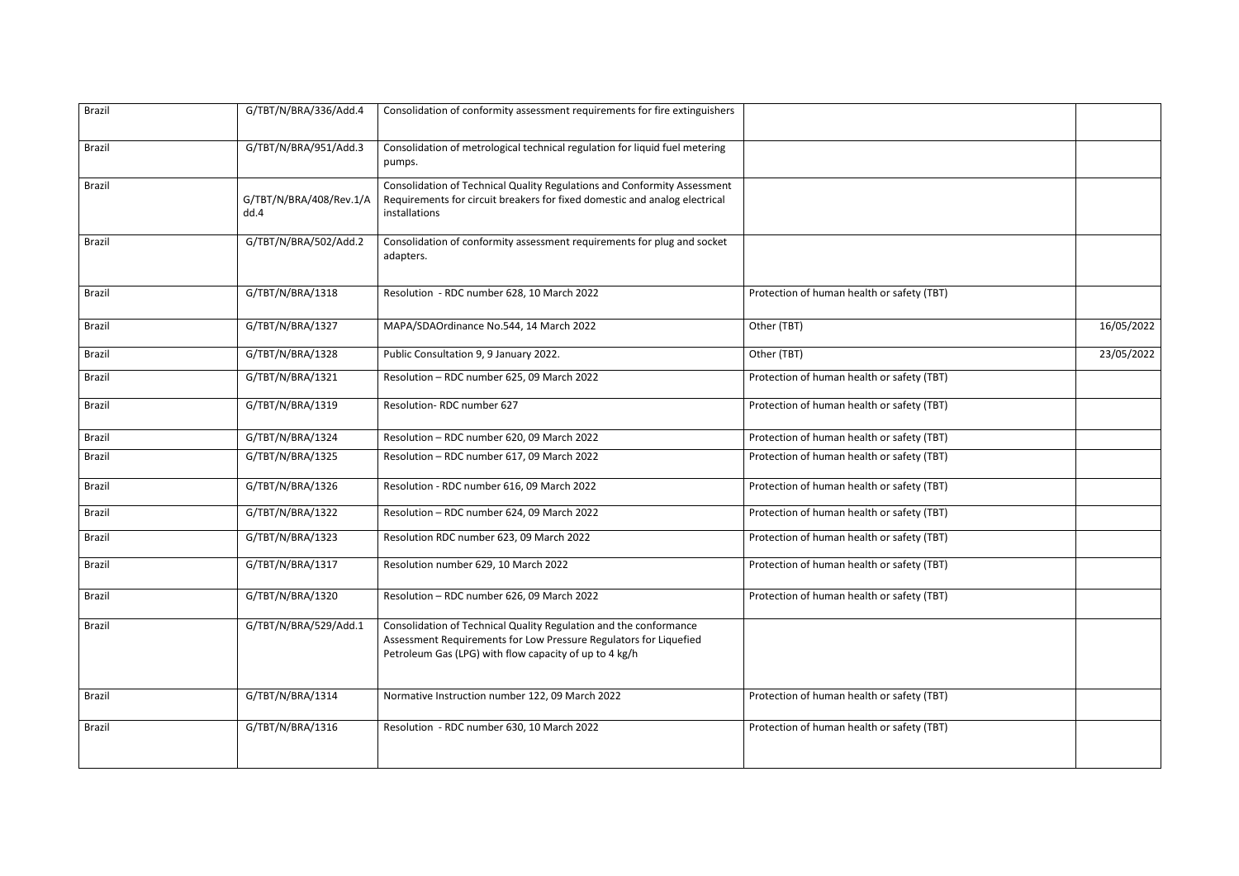| <b>Brazil</b> | G/TBT/N/BRA/336/Add.4           | Consolidation of conformity assessment requirements for fire extinguishers                                                                                                                       |                                            |            |
|---------------|---------------------------------|--------------------------------------------------------------------------------------------------------------------------------------------------------------------------------------------------|--------------------------------------------|------------|
| Brazil        | G/TBT/N/BRA/951/Add.3           | Consolidation of metrological technical regulation for liquid fuel metering<br>pumps.                                                                                                            |                                            |            |
| Brazil        | G/TBT/N/BRA/408/Rev.1/A<br>dd.4 | Consolidation of Technical Quality Regulations and Conformity Assessment<br>Requirements for circuit breakers for fixed domestic and analog electrical<br>installations                          |                                            |            |
| Brazil        | G/TBT/N/BRA/502/Add.2           | Consolidation of conformity assessment requirements for plug and socket<br>adapters.                                                                                                             |                                            |            |
| Brazil        | G/TBT/N/BRA/1318                | Resolution - RDC number 628, 10 March 2022                                                                                                                                                       | Protection of human health or safety (TBT) |            |
| Brazil        | G/TBT/N/BRA/1327                | MAPA/SDAOrdinance No.544, 14 March 2022                                                                                                                                                          | Other (TBT)                                | 16/05/2022 |
| Brazil        | G/TBT/N/BRA/1328                | Public Consultation 9, 9 January 2022.                                                                                                                                                           | Other (TBT)                                | 23/05/2022 |
| Brazil        | G/TBT/N/BRA/1321                | Resolution - RDC number 625, 09 March 2022                                                                                                                                                       | Protection of human health or safety (TBT) |            |
| Brazil        | G/TBT/N/BRA/1319                | Resolution-RDC number 627                                                                                                                                                                        | Protection of human health or safety (TBT) |            |
| Brazil        | G/TBT/N/BRA/1324                | Resolution - RDC number 620, 09 March 2022                                                                                                                                                       | Protection of human health or safety (TBT) |            |
| Brazil        | G/TBT/N/BRA/1325                | Resolution - RDC number 617, 09 March 2022                                                                                                                                                       | Protection of human health or safety (TBT) |            |
| Brazil        | G/TBT/N/BRA/1326                | Resolution - RDC number 616, 09 March 2022                                                                                                                                                       | Protection of human health or safety (TBT) |            |
| Brazil        | G/TBT/N/BRA/1322                | Resolution - RDC number 624, 09 March 2022                                                                                                                                                       | Protection of human health or safety (TBT) |            |
| Brazil        | G/TBT/N/BRA/1323                | Resolution RDC number 623, 09 March 2022                                                                                                                                                         | Protection of human health or safety (TBT) |            |
| Brazil        | G/TBT/N/BRA/1317                | Resolution number 629, 10 March 2022                                                                                                                                                             | Protection of human health or safety (TBT) |            |
| Brazil        | G/TBT/N/BRA/1320                | Resolution - RDC number 626, 09 March 2022                                                                                                                                                       | Protection of human health or safety (TBT) |            |
| Brazil        | G/TBT/N/BRA/529/Add.1           | Consolidation of Technical Quality Regulation and the conformance<br>Assessment Requirements for Low Pressure Regulators for Liquefied<br>Petroleum Gas (LPG) with flow capacity of up to 4 kg/h |                                            |            |
| Brazil        | G/TBT/N/BRA/1314                | Normative Instruction number 122, 09 March 2022                                                                                                                                                  | Protection of human health or safety (TBT) |            |
| Brazil        | G/TBT/N/BRA/1316                | Resolution - RDC number 630, 10 March 2022                                                                                                                                                       | Protection of human health or safety (TBT) |            |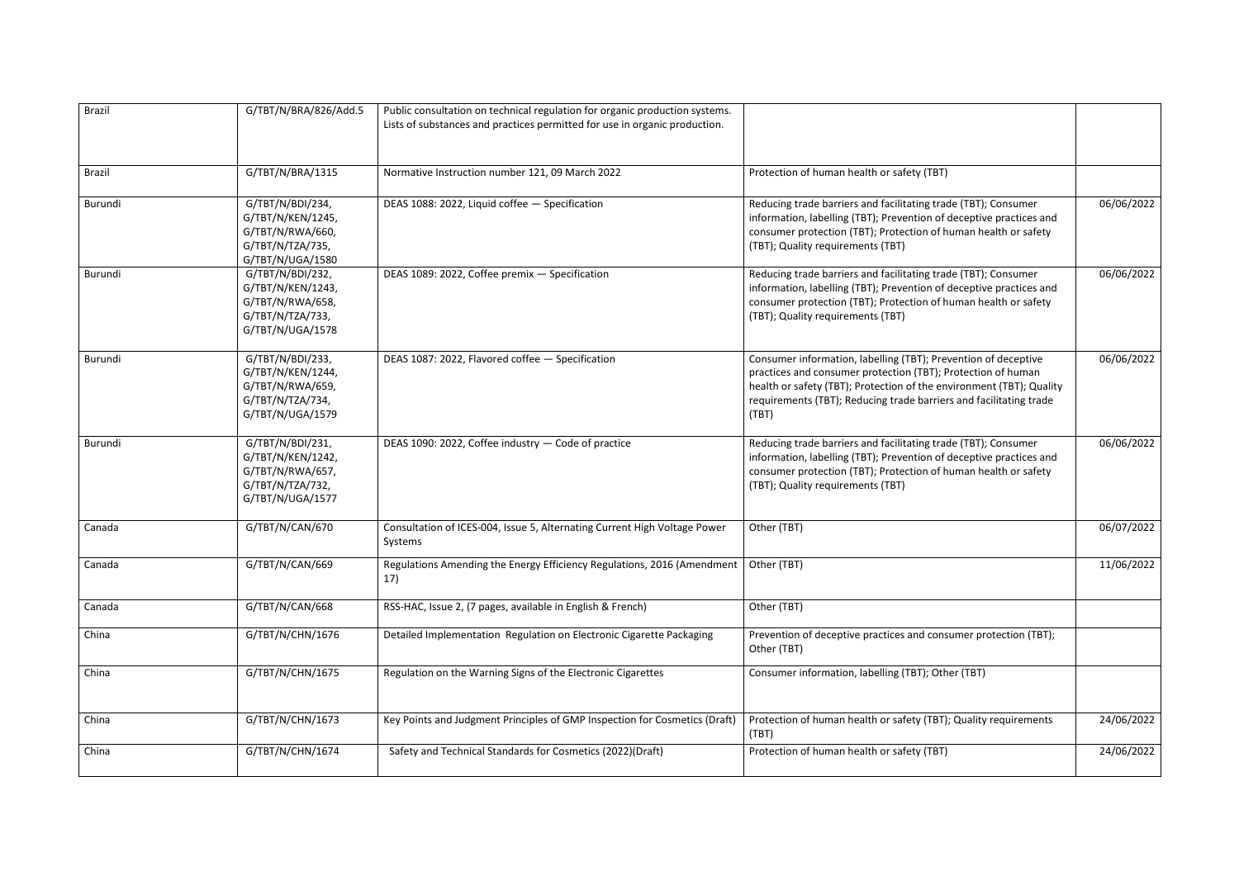| Brazil  | G/TBT/N/BRA/826/Add.5                                                                             | Public consultation on technical regulation for organic production systems.<br>Lists of substances and practices permitted for use in organic production. |                                                                                                                                                                                                                                                                                       |            |
|---------|---------------------------------------------------------------------------------------------------|-----------------------------------------------------------------------------------------------------------------------------------------------------------|---------------------------------------------------------------------------------------------------------------------------------------------------------------------------------------------------------------------------------------------------------------------------------------|------------|
| Brazil  | G/TBT/N/BRA/1315                                                                                  | Normative Instruction number 121, 09 March 2022                                                                                                           | Protection of human health or safety (TBT)                                                                                                                                                                                                                                            |            |
| Burundi | G/TBT/N/BDI/234,<br>G/TBT/N/KEN/1245,<br>G/TBT/N/RWA/660,<br>G/TBT/N/TZA/735,<br>G/TBT/N/UGA/1580 | DEAS 1088: 2022, Liquid coffee - Specification                                                                                                            | Reducing trade barriers and facilitating trade (TBT); Consumer<br>information, labelling (TBT); Prevention of deceptive practices and<br>consumer protection (TBT); Protection of human health or safety<br>(TBT); Quality requirements (TBT)                                         | 06/06/2022 |
| Burundi | G/TBT/N/BDI/232,<br>G/TBT/N/KEN/1243,<br>G/TBT/N/RWA/658,<br>G/TBT/N/TZA/733,<br>G/TBT/N/UGA/1578 | DEAS 1089: 2022, Coffee premix - Specification                                                                                                            | Reducing trade barriers and facilitating trade (TBT); Consumer<br>information, labelling (TBT); Prevention of deceptive practices and<br>consumer protection (TBT); Protection of human health or safety<br>(TBT); Quality requirements (TBT)                                         | 06/06/2022 |
| Burundi | G/TBT/N/BDI/233,<br>G/TBT/N/KEN/1244,<br>G/TBT/N/RWA/659,<br>G/TBT/N/TZA/734,<br>G/TBT/N/UGA/1579 | DEAS 1087: 2022, Flavored coffee - Specification                                                                                                          | Consumer information, labelling (TBT); Prevention of deceptive<br>practices and consumer protection (TBT); Protection of human<br>health or safety (TBT); Protection of the environment (TBT); Quality<br>requirements (TBT); Reducing trade barriers and facilitating trade<br>(TBT) | 06/06/2022 |
| Burundi | G/TBT/N/BDI/231,<br>G/TBT/N/KEN/1242,<br>G/TBT/N/RWA/657,<br>G/TBT/N/TZA/732,<br>G/TBT/N/UGA/1577 | DEAS 1090: 2022, Coffee industry - Code of practice                                                                                                       | Reducing trade barriers and facilitating trade (TBT); Consumer<br>information, labelling (TBT); Prevention of deceptive practices and<br>consumer protection (TBT); Protection of human health or safety<br>(TBT); Quality requirements (TBT)                                         | 06/06/2022 |
| Canada  | G/TBT/N/CAN/670                                                                                   | Consultation of ICES-004, Issue 5, Alternating Current High Voltage Power<br>Systems                                                                      | Other (TBT)                                                                                                                                                                                                                                                                           | 06/07/2022 |
| Canada  | G/TBT/N/CAN/669                                                                                   | Regulations Amending the Energy Efficiency Regulations, 2016 (Amendment   Other (TBT)<br>17)                                                              |                                                                                                                                                                                                                                                                                       | 11/06/2022 |
| Canada  | G/TBT/N/CAN/668                                                                                   | RSS-HAC, Issue 2, (7 pages, available in English & French)                                                                                                | Other (TBT)                                                                                                                                                                                                                                                                           |            |
| China   | G/TBT/N/CHN/1676                                                                                  | Detailed Implementation Regulation on Electronic Cigarette Packaging                                                                                      | Prevention of deceptive practices and consumer protection (TBT);<br>Other (TBT)                                                                                                                                                                                                       |            |
| China   | G/TBT/N/CHN/1675                                                                                  | Regulation on the Warning Signs of the Electronic Cigarettes                                                                                              | Consumer information, labelling (TBT); Other (TBT)                                                                                                                                                                                                                                    |            |
| China   | G/TBT/N/CHN/1673                                                                                  | Key Points and Judgment Principles of GMP Inspection for Cosmetics (Draft)                                                                                | Protection of human health or safety (TBT); Quality requirements<br>(TBT)                                                                                                                                                                                                             | 24/06/2022 |
| China   | G/TBT/N/CHN/1674                                                                                  | Safety and Technical Standards for Cosmetics (2022)(Draft)                                                                                                | Protection of human health or safety (TBT)                                                                                                                                                                                                                                            | 24/06/2022 |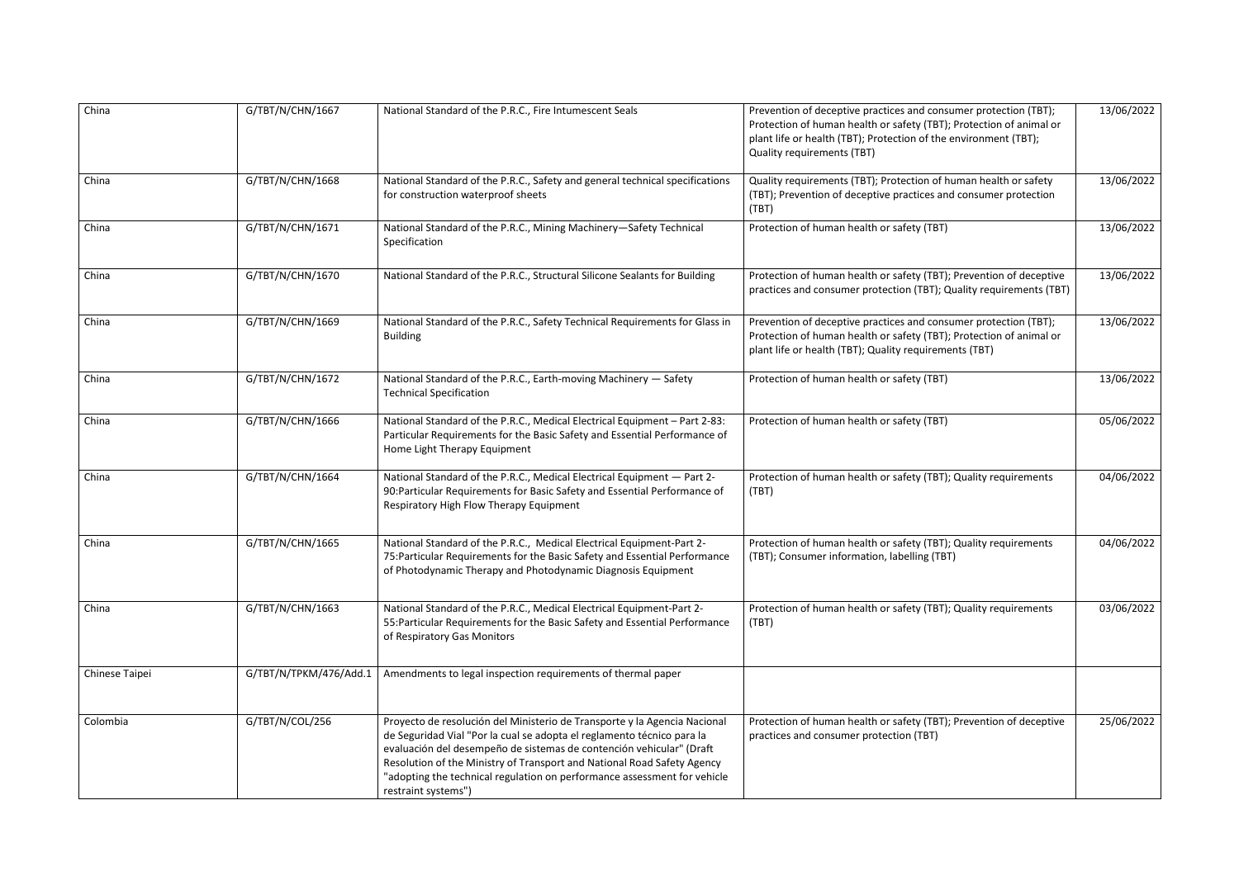| China          | G/TBT/N/CHN/1667       | National Standard of the P.R.C., Fire Intumescent Seals                                                                                                                                                                                                                                                                                                                                                   | Prevention of deceptive practices and consumer protection (TBT);<br>Protection of human health or safety (TBT); Protection of animal or<br>plant life or health (TBT); Protection of the environment (TBT);<br><b>Quality requirements (TBT)</b> | 13/06/2022 |
|----------------|------------------------|-----------------------------------------------------------------------------------------------------------------------------------------------------------------------------------------------------------------------------------------------------------------------------------------------------------------------------------------------------------------------------------------------------------|--------------------------------------------------------------------------------------------------------------------------------------------------------------------------------------------------------------------------------------------------|------------|
| China          | G/TBT/N/CHN/1668       | National Standard of the P.R.C., Safety and general technical specifications<br>for construction waterproof sheets                                                                                                                                                                                                                                                                                        | Quality requirements (TBT); Protection of human health or safety<br>(TBT); Prevention of deceptive practices and consumer protection<br>(TBT)                                                                                                    | 13/06/2022 |
| China          | G/TBT/N/CHN/1671       | National Standard of the P.R.C., Mining Machinery-Safety Technical<br>Specification                                                                                                                                                                                                                                                                                                                       | Protection of human health or safety (TBT)                                                                                                                                                                                                       | 13/06/2022 |
| China          | G/TBT/N/CHN/1670       | National Standard of the P.R.C., Structural Silicone Sealants for Building                                                                                                                                                                                                                                                                                                                                | Protection of human health or safety (TBT); Prevention of deceptive<br>practices and consumer protection (TBT); Quality requirements (TBT)                                                                                                       | 13/06/2022 |
| China          | G/TBT/N/CHN/1669       | National Standard of the P.R.C., Safety Technical Requirements for Glass in<br><b>Building</b>                                                                                                                                                                                                                                                                                                            | Prevention of deceptive practices and consumer protection (TBT);<br>Protection of human health or safety (TBT); Protection of animal or<br>plant life or health (TBT); Quality requirements (TBT)                                                | 13/06/2022 |
| China          | G/TBT/N/CHN/1672       | National Standard of the P.R.C., Earth-moving Machinery - Safety<br><b>Technical Specification</b>                                                                                                                                                                                                                                                                                                        | Protection of human health or safety (TBT)                                                                                                                                                                                                       |            |
| China          | G/TBT/N/CHN/1666       | National Standard of the P.R.C., Medical Electrical Equipment - Part 2-83:<br>Particular Requirements for the Basic Safety and Essential Performance of<br>Home Light Therapy Equipment                                                                                                                                                                                                                   | Protection of human health or safety (TBT)                                                                                                                                                                                                       | 05/06/2022 |
| China          | G/TBT/N/CHN/1664       | National Standard of the P.R.C., Medical Electrical Equipment - Part 2-<br>90: Particular Requirements for Basic Safety and Essential Performance of<br>Respiratory High Flow Therapy Equipment                                                                                                                                                                                                           | Protection of human health or safety (TBT); Quality requirements<br>(TBT)                                                                                                                                                                        | 04/06/2022 |
| China          | G/TBT/N/CHN/1665       | National Standard of the P.R.C., Medical Electrical Equipment-Part 2-<br>75: Particular Requirements for the Basic Safety and Essential Performance<br>of Photodynamic Therapy and Photodynamic Diagnosis Equipment                                                                                                                                                                                       | Protection of human health or safety (TBT); Quality requirements<br>(TBT); Consumer information, labelling (TBT)                                                                                                                                 | 04/06/2022 |
| China          | G/TBT/N/CHN/1663       | National Standard of the P.R.C., Medical Electrical Equipment-Part 2-<br>55: Particular Requirements for the Basic Safety and Essential Performance<br>of Respiratory Gas Monitors                                                                                                                                                                                                                        | Protection of human health or safety (TBT); Quality requirements<br>(TBT)                                                                                                                                                                        |            |
| Chinese Taipei | G/TBT/N/TPKM/476/Add.1 | Amendments to legal inspection requirements of thermal paper                                                                                                                                                                                                                                                                                                                                              |                                                                                                                                                                                                                                                  |            |
| Colombia       | G/TBT/N/COL/256        | Proyecto de resolución del Ministerio de Transporte y la Agencia Nacional<br>de Seguridad Vial "Por la cual se adopta el reglamento técnico para la<br>evaluación del desempeño de sistemas de contención vehicular" (Draft<br>Resolution of the Ministry of Transport and National Road Safety Agency<br>"adopting the technical regulation on performance assessment for vehicle<br>restraint systems") | Protection of human health or safety (TBT); Prevention of deceptive<br>practices and consumer protection (TBT)                                                                                                                                   | 25/06/2022 |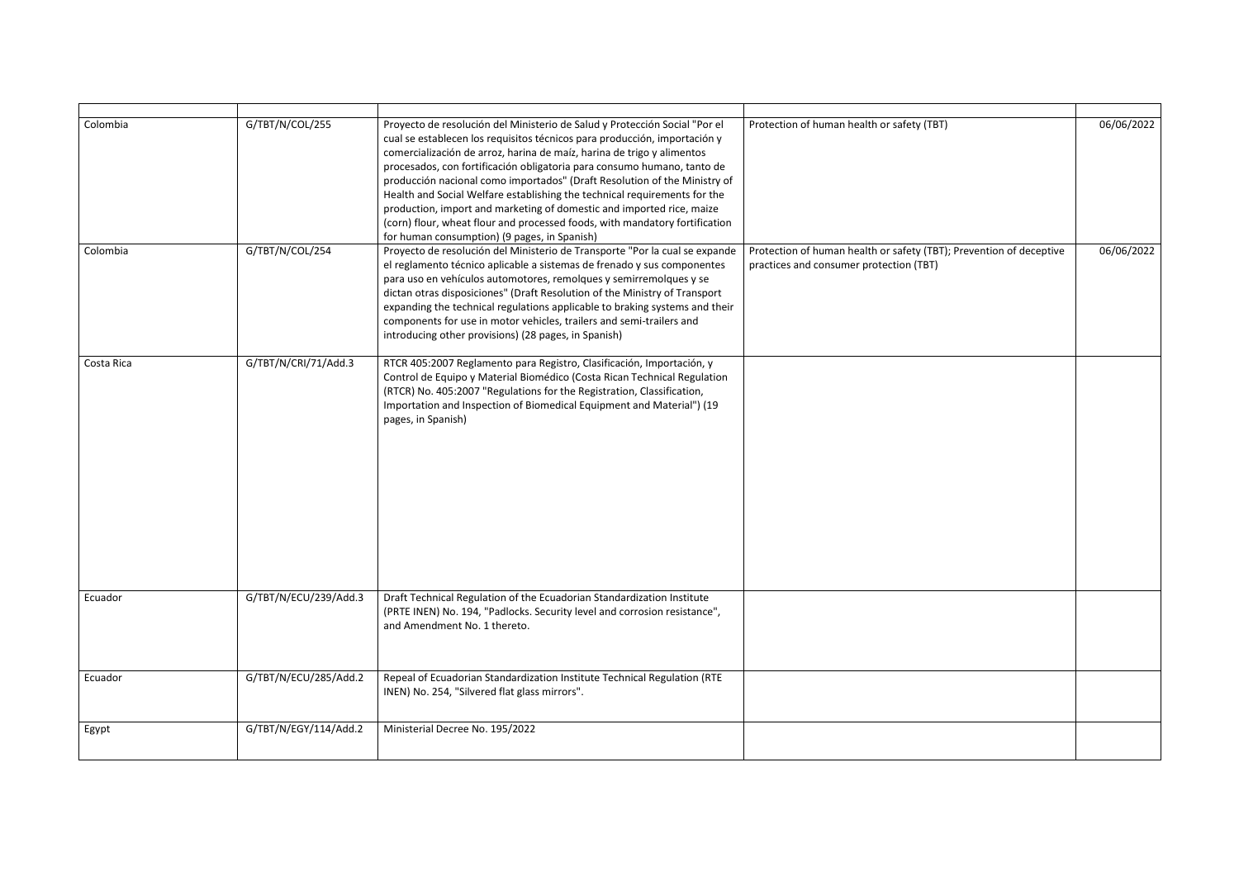| Colombia   | G/TBT/N/COL/255       | Proyecto de resolución del Ministerio de Salud y Protección Social "Por el<br>cual se establecen los requisitos técnicos para producción, importación y<br>comercialización de arroz, harina de maíz, harina de trigo y alimentos<br>procesados, con fortificación obligatoria para consumo humano, tanto de<br>producción nacional como importados" (Draft Resolution of the Ministry of<br>Health and Social Welfare establishing the technical requirements for the<br>production, import and marketing of domestic and imported rice, maize<br>(corn) flour, wheat flour and processed foods, with mandatory fortification<br>for human consumption) (9 pages, in Spanish) | Protection of human health or safety (TBT)                                                                     | 06/06/2022 |
|------------|-----------------------|--------------------------------------------------------------------------------------------------------------------------------------------------------------------------------------------------------------------------------------------------------------------------------------------------------------------------------------------------------------------------------------------------------------------------------------------------------------------------------------------------------------------------------------------------------------------------------------------------------------------------------------------------------------------------------|----------------------------------------------------------------------------------------------------------------|------------|
| Colombia   | G/TBT/N/COL/254       | Proyecto de resolución del Ministerio de Transporte "Por la cual se expande<br>el reglamento técnico aplicable a sistemas de frenado y sus componentes<br>para uso en vehículos automotores, remolques y semirremolques y se<br>dictan otras disposiciones" (Draft Resolution of the Ministry of Transport<br>expanding the technical regulations applicable to braking systems and their<br>components for use in motor vehicles, trailers and semi-trailers and<br>introducing other provisions) (28 pages, in Spanish)                                                                                                                                                      | Protection of human health or safety (TBT); Prevention of deceptive<br>practices and consumer protection (TBT) | 06/06/2022 |
| Costa Rica | G/TBT/N/CRI/71/Add.3  | RTCR 405:2007 Reglamento para Registro, Clasificación, Importación, y<br>Control de Equipo y Material Biomédico (Costa Rican Technical Regulation<br>(RTCR) No. 405:2007 "Regulations for the Registration, Classification,<br>Importation and Inspection of Biomedical Equipment and Material") (19<br>pages, in Spanish)                                                                                                                                                                                                                                                                                                                                                     |                                                                                                                |            |
| Ecuador    | G/TBT/N/ECU/239/Add.3 | Draft Technical Regulation of the Ecuadorian Standardization Institute<br>(PRTE INEN) No. 194, "Padlocks. Security level and corrosion resistance",<br>and Amendment No. 1 thereto.                                                                                                                                                                                                                                                                                                                                                                                                                                                                                            |                                                                                                                |            |
| Ecuador    | G/TBT/N/ECU/285/Add.2 | Repeal of Ecuadorian Standardization Institute Technical Regulation (RTE<br>INEN) No. 254, "Silvered flat glass mirrors".                                                                                                                                                                                                                                                                                                                                                                                                                                                                                                                                                      |                                                                                                                |            |
| Egypt      | G/TBT/N/EGY/114/Add.2 | Ministerial Decree No. 195/2022                                                                                                                                                                                                                                                                                                                                                                                                                                                                                                                                                                                                                                                |                                                                                                                |            |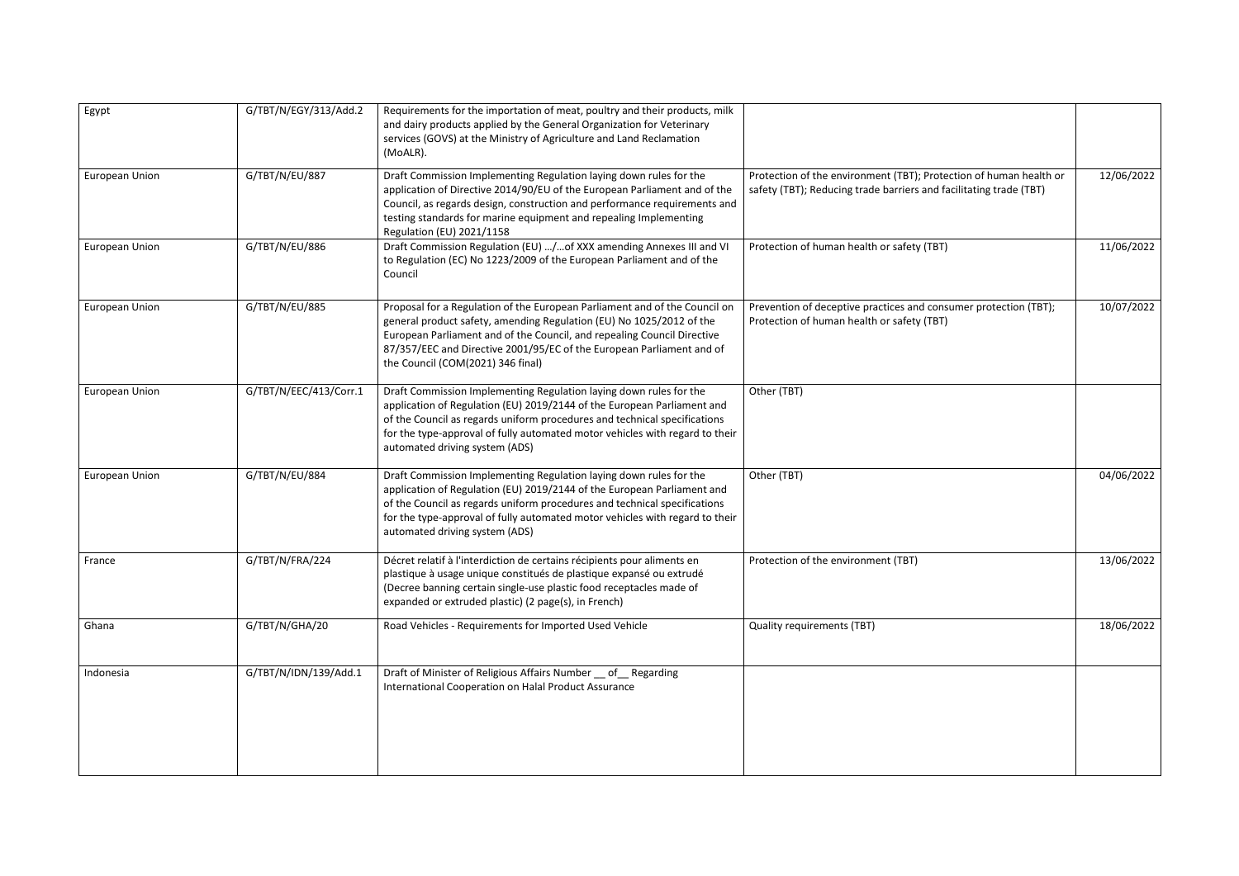| Egypt                 | G/TBT/N/EGY/313/Add.2  | Requirements for the importation of meat, poultry and their products, milk<br>and dairy products applied by the General Organization for Veterinary<br>services (GOVS) at the Ministry of Agriculture and Land Reclamation<br>(MoALR).                                                                                                       |                                                                                                                                          |            |
|-----------------------|------------------------|----------------------------------------------------------------------------------------------------------------------------------------------------------------------------------------------------------------------------------------------------------------------------------------------------------------------------------------------|------------------------------------------------------------------------------------------------------------------------------------------|------------|
| European Union        | G/TBT/N/EU/887         | Draft Commission Implementing Regulation laying down rules for the<br>application of Directive 2014/90/EU of the European Parliament and of the<br>Council, as regards design, construction and performance requirements and<br>testing standards for marine equipment and repealing Implementing<br>Regulation (EU) 2021/1158               | Protection of the environment (TBT); Protection of human health or<br>safety (TBT); Reducing trade barriers and facilitating trade (TBT) | 12/06/2022 |
| <b>European Union</b> | G/TBT/N/EU/886         | Draft Commission Regulation (EU) /of XXX amending Annexes III and VI<br>to Regulation (EC) No 1223/2009 of the European Parliament and of the<br>Council                                                                                                                                                                                     | Protection of human health or safety (TBT)                                                                                               | 11/06/2022 |
| European Union        | G/TBT/N/EU/885         | Proposal for a Regulation of the European Parliament and of the Council on<br>general product safety, amending Regulation (EU) No 1025/2012 of the<br>European Parliament and of the Council, and repealing Council Directive<br>87/357/EEC and Directive 2001/95/EC of the European Parliament and of<br>the Council (COM(2021) 346 final)  | Prevention of deceptive practices and consumer protection (TBT);<br>Protection of human health or safety (TBT)                           | 10/07/2022 |
| <b>European Union</b> | G/TBT/N/EEC/413/Corr.1 | Draft Commission Implementing Regulation laying down rules for the<br>application of Regulation (EU) 2019/2144 of the European Parliament and<br>of the Council as regards uniform procedures and technical specifications<br>for the type-approval of fully automated motor vehicles with regard to their<br>automated driving system (ADS) | Other (TBT)                                                                                                                              |            |
| European Union        | G/TBT/N/EU/884         | Draft Commission Implementing Regulation laying down rules for the<br>application of Regulation (EU) 2019/2144 of the European Parliament and<br>of the Council as regards uniform procedures and technical specifications<br>for the type-approval of fully automated motor vehicles with regard to their<br>automated driving system (ADS) | Other (TBT)                                                                                                                              | 04/06/2022 |
| France                | G/TBT/N/FRA/224        | Décret relatif à l'interdiction de certains récipients pour aliments en<br>plastique à usage unique constitués de plastique expansé ou extrudé<br>(Decree banning certain single-use plastic food receptacles made of<br>expanded or extruded plastic) (2 page(s), in French)                                                                | Protection of the environment (TBT)                                                                                                      | 13/06/2022 |
| Ghana                 | G/TBT/N/GHA/20         | Road Vehicles - Requirements for Imported Used Vehicle                                                                                                                                                                                                                                                                                       | <b>Quality requirements (TBT)</b>                                                                                                        | 18/06/2022 |
| Indonesia             | G/TBT/N/IDN/139/Add.1  | Draft of Minister of Religious Affairs Number _ of _ Regarding<br>International Cooperation on Halal Product Assurance                                                                                                                                                                                                                       |                                                                                                                                          |            |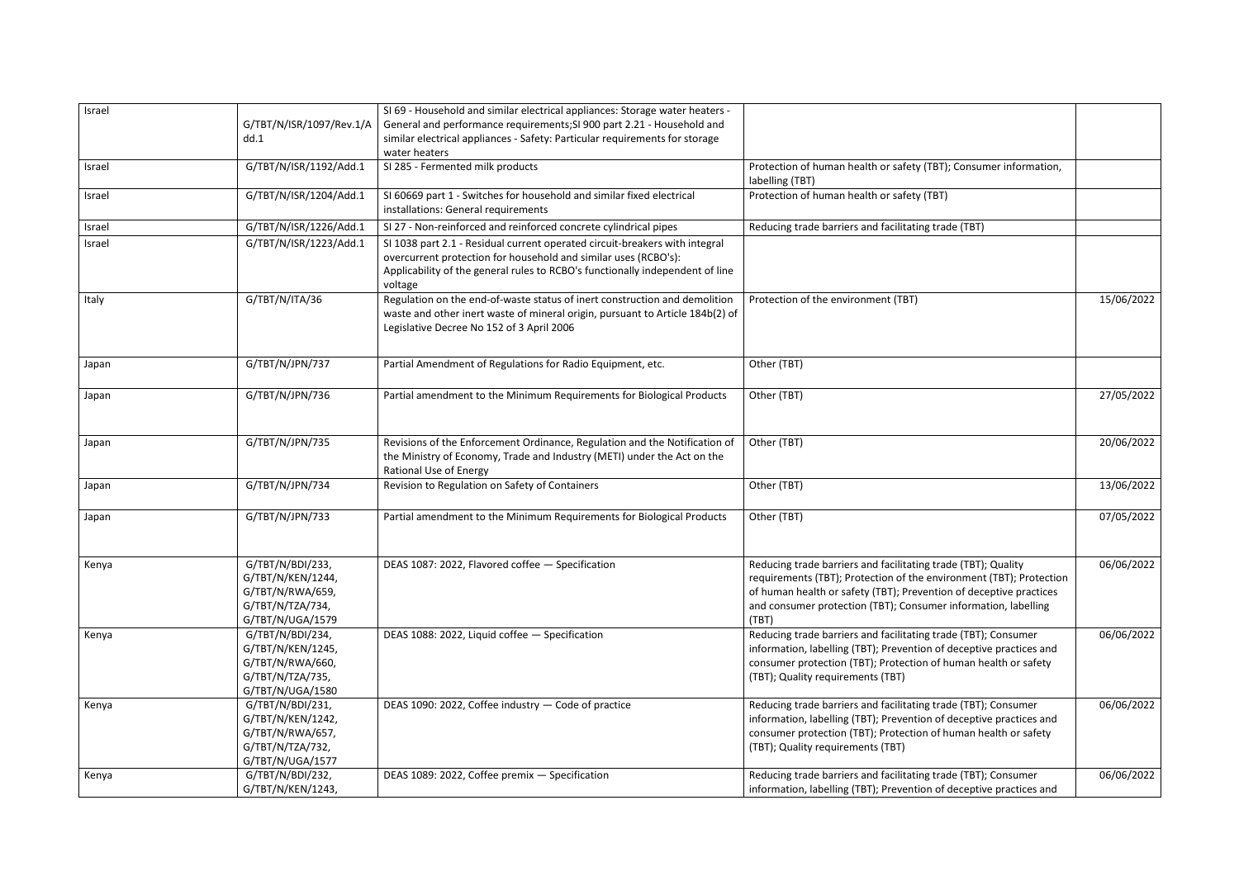| Israel |                          | SI 69 - Household and similar electrical appliances: Storage water heaters -  |                                                                     |            |
|--------|--------------------------|-------------------------------------------------------------------------------|---------------------------------------------------------------------|------------|
|        | G/TBT/N/ISR/1097/Rev.1/A | General and performance requirements; SI 900 part 2.21 - Household and        |                                                                     |            |
|        | dd.1                     | similar electrical appliances - Safety: Particular requirements for storage   |                                                                     |            |
|        |                          | water heaters                                                                 |                                                                     |            |
| Israel | G/TBT/N/ISR/1192/Add.1   | SI 285 - Fermented milk products                                              | Protection of human health or safety (TBT); Consumer information,   |            |
|        |                          |                                                                               | labelling (TBT)                                                     |            |
| Israel | G/TBT/N/ISR/1204/Add.1   | SI 60669 part 1 - Switches for household and similar fixed electrical         | Protection of human health or safety (TBT)                          |            |
|        |                          | installations: General requirements                                           |                                                                     |            |
| Israel | G/TBT/N/ISR/1226/Add.1   | SI 27 - Non-reinforced and reinforced concrete cylindrical pipes              | Reducing trade barriers and facilitating trade (TBT)                |            |
| Israel | G/TBT/N/ISR/1223/Add.1   | SI 1038 part 2.1 - Residual current operated circuit-breakers with integral   |                                                                     |            |
|        |                          | overcurrent protection for household and similar uses (RCBO's):               |                                                                     |            |
|        |                          | Applicability of the general rules to RCBO's functionally independent of line |                                                                     |            |
|        |                          | voltage                                                                       |                                                                     |            |
| Italy  | G/TBT/N/ITA/36           | Regulation on the end-of-waste status of inert construction and demolition    | Protection of the environment (TBT)                                 | 15/06/2022 |
|        |                          | waste and other inert waste of mineral origin, pursuant to Article 184b(2) of |                                                                     |            |
|        |                          | Legislative Decree No 152 of 3 April 2006                                     |                                                                     |            |
|        |                          |                                                                               |                                                                     |            |
| Japan  | G/TBT/N/JPN/737          | Partial Amendment of Regulations for Radio Equipment, etc.                    | Other (TBT)                                                         |            |
|        |                          |                                                                               |                                                                     |            |
| Japan  | G/TBT/N/JPN/736          | Partial amendment to the Minimum Requirements for Biological Products         | Other (TBT)                                                         | 27/05/2022 |
|        |                          |                                                                               |                                                                     |            |
|        |                          |                                                                               |                                                                     |            |
| Japan  | G/TBT/N/JPN/735          | Revisions of the Enforcement Ordinance, Regulation and the Notification of    | Other (TBT)                                                         | 20/06/2022 |
|        |                          | the Ministry of Economy, Trade and Industry (METI) under the Act on the       |                                                                     |            |
|        |                          | <b>Rational Use of Energy</b>                                                 |                                                                     |            |
| Japan  | G/TBT/N/JPN/734          | Revision to Regulation on Safety of Containers                                | Other (TBT)                                                         | 13/06/2022 |
|        |                          |                                                                               |                                                                     |            |
| Japan  | G/TBT/N/JPN/733          | Partial amendment to the Minimum Requirements for Biological Products         | Other (TBT)                                                         | 07/05/2022 |
|        |                          |                                                                               |                                                                     |            |
|        |                          |                                                                               |                                                                     |            |
| Kenya  | G/TBT/N/BDI/233,         | DEAS 1087: 2022, Flavored coffee - Specification                              | Reducing trade barriers and facilitating trade (TBT); Quality       | 06/06/2022 |
|        | G/TBT/N/KEN/1244,        |                                                                               | requirements (TBT); Protection of the environment (TBT); Protection |            |
|        | G/TBT/N/RWA/659,         |                                                                               | of human health or safety (TBT); Prevention of deceptive practices  |            |
|        | G/TBT/N/TZA/734,         |                                                                               | and consumer protection (TBT); Consumer information, labelling      |            |
|        | G/TBT/N/UGA/1579         |                                                                               | (TBT)                                                               |            |
| Kenya  | G/TBT/N/BDI/234,         | DEAS 1088: 2022, Liquid coffee - Specification                                | Reducing trade barriers and facilitating trade (TBT); Consumer      | 06/06/2022 |
|        | G/TBT/N/KEN/1245,        |                                                                               | information, labelling (TBT); Prevention of deceptive practices and |            |
|        | G/TBT/N/RWA/660,         |                                                                               | consumer protection (TBT); Protection of human health or safety     |            |
|        | G/TBT/N/TZA/735,         |                                                                               | (TBT); Quality requirements (TBT)                                   |            |
|        | G/TBT/N/UGA/1580         |                                                                               |                                                                     |            |
| Kenya  | G/TBT/N/BDI/231,         | DEAS 1090: 2022, Coffee industry - Code of practice                           | Reducing trade barriers and facilitating trade (TBT); Consumer      | 06/06/2022 |
|        | G/TBT/N/KEN/1242,        |                                                                               | information, labelling (TBT); Prevention of deceptive practices and |            |
|        | G/TBT/N/RWA/657,         |                                                                               | consumer protection (TBT); Protection of human health or safety     |            |
|        | G/TBT/N/TZA/732,         |                                                                               | (TBT); Quality requirements (TBT)                                   |            |
|        | G/TBT/N/UGA/1577         |                                                                               |                                                                     |            |
| Kenya  | G/TBT/N/BDI/232,         | DEAS 1089: 2022, Coffee premix - Specification                                | Reducing trade barriers and facilitating trade (TBT); Consumer      | 06/06/2022 |
|        | G/TBT/N/KEN/1243,        |                                                                               | information, labelling (TBT); Prevention of deceptive practices and |            |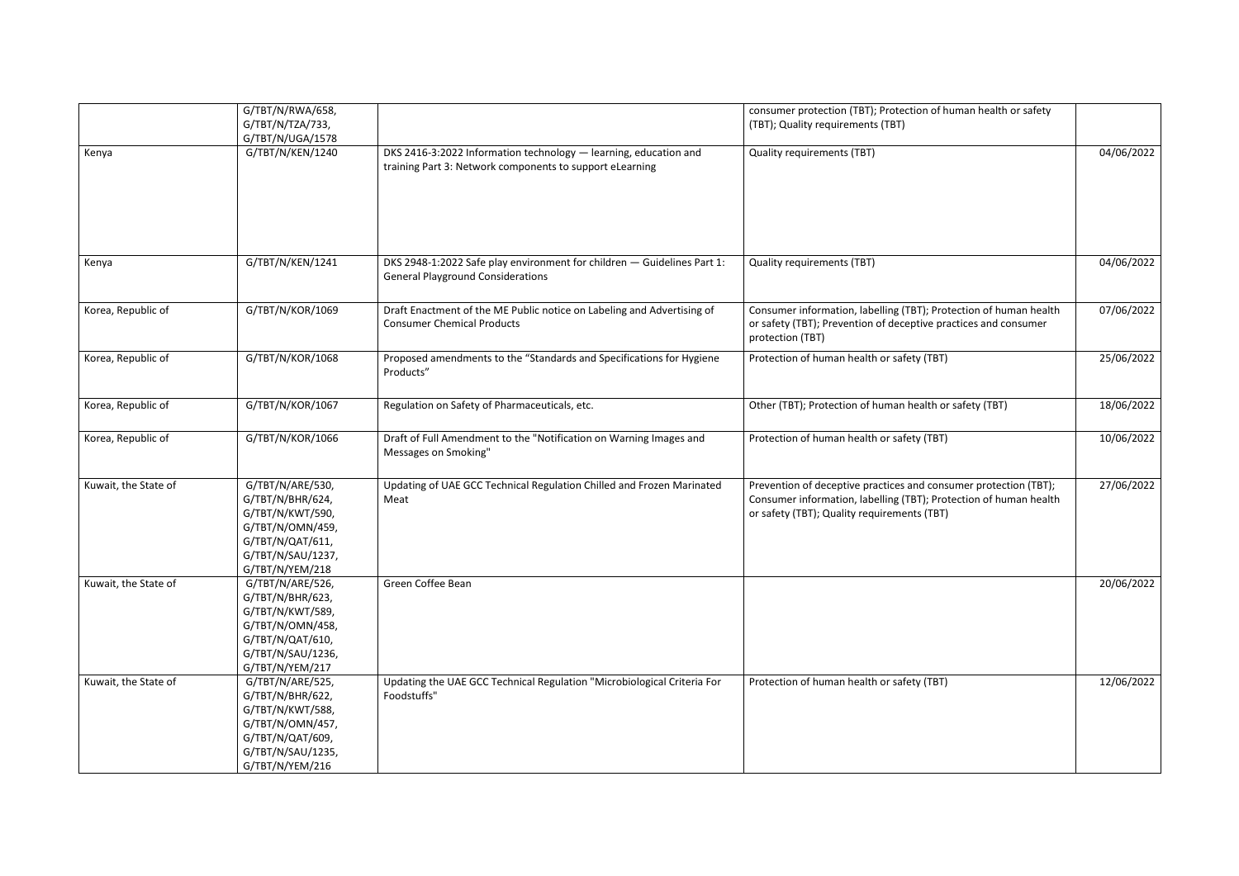|                      | G/TBT/N/RWA/658,<br>G/TBT/N/TZA/733,<br>G/TBT/N/UGA/1578                                                                                 |                                                                                                                              | consumer protection (TBT); Protection of human health or safety<br>(TBT); Quality requirements (TBT)                                                                                 |            |
|----------------------|------------------------------------------------------------------------------------------------------------------------------------------|------------------------------------------------------------------------------------------------------------------------------|--------------------------------------------------------------------------------------------------------------------------------------------------------------------------------------|------------|
| Kenya                | G/TBT/N/KEN/1240                                                                                                                         | DKS 2416-3:2022 Information technology - learning, education and<br>training Part 3: Network components to support eLearning | <b>Quality requirements (TBT)</b>                                                                                                                                                    | 04/06/2022 |
| Kenya                | G/TBT/N/KEN/1241                                                                                                                         | DKS 2948-1:2022 Safe play environment for children - Guidelines Part 1:<br><b>General Playground Considerations</b>          | <b>Quality requirements (TBT)</b>                                                                                                                                                    | 04/06/2022 |
| Korea, Republic of   | G/TBT/N/KOR/1069                                                                                                                         | Draft Enactment of the ME Public notice on Labeling and Advertising of<br><b>Consumer Chemical Products</b>                  | Consumer information, labelling (TBT); Protection of human health<br>or safety (TBT); Prevention of deceptive practices and consumer<br>protection (TBT)                             | 07/06/2022 |
| Korea, Republic of   | G/TBT/N/KOR/1068                                                                                                                         | Proposed amendments to the "Standards and Specifications for Hygiene<br>Products"                                            | Protection of human health or safety (TBT)                                                                                                                                           | 25/06/2022 |
| Korea, Republic of   | G/TBT/N/KOR/1067                                                                                                                         | Regulation on Safety of Pharmaceuticals, etc.                                                                                | Other (TBT); Protection of human health or safety (TBT)                                                                                                                              | 18/06/2022 |
| Korea, Republic of   | G/TBT/N/KOR/1066                                                                                                                         | Draft of Full Amendment to the "Notification on Warning Images and<br>Messages on Smoking"                                   | Protection of human health or safety (TBT)                                                                                                                                           | 10/06/2022 |
| Kuwait, the State of | G/TBT/N/ARE/530,<br>G/TBT/N/BHR/624,<br>G/TBT/N/KWT/590,<br>G/TBT/N/OMN/459,<br>G/TBT/N/QAT/611,<br>G/TBT/N/SAU/1237,<br>G/TBT/N/YEM/218 | Updating of UAE GCC Technical Regulation Chilled and Frozen Marinated<br>Meat                                                | Prevention of deceptive practices and consumer protection (TBT);<br>Consumer information, labelling (TBT); Protection of human health<br>or safety (TBT); Quality requirements (TBT) | 27/06/2022 |
| Kuwait, the State of | G/TBT/N/ARE/526,<br>G/TBT/N/BHR/623,<br>G/TBT/N/KWT/589,<br>G/TBT/N/OMN/458,<br>G/TBT/N/QAT/610,<br>G/TBT/N/SAU/1236,<br>G/TBT/N/YEM/217 | Green Coffee Bean                                                                                                            |                                                                                                                                                                                      | 20/06/2022 |
| Kuwait, the State of | G/TBT/N/ARE/525,<br>G/TBT/N/BHR/622,<br>G/TBT/N/KWT/588,<br>G/TBT/N/OMN/457,<br>G/TBT/N/QAT/609,<br>G/TBT/N/SAU/1235,<br>G/TBT/N/YEM/216 | Updating the UAE GCC Technical Regulation "Microbiological Criteria For<br>Foodstuffs"                                       | Protection of human health or safety (TBT)                                                                                                                                           | 12/06/2022 |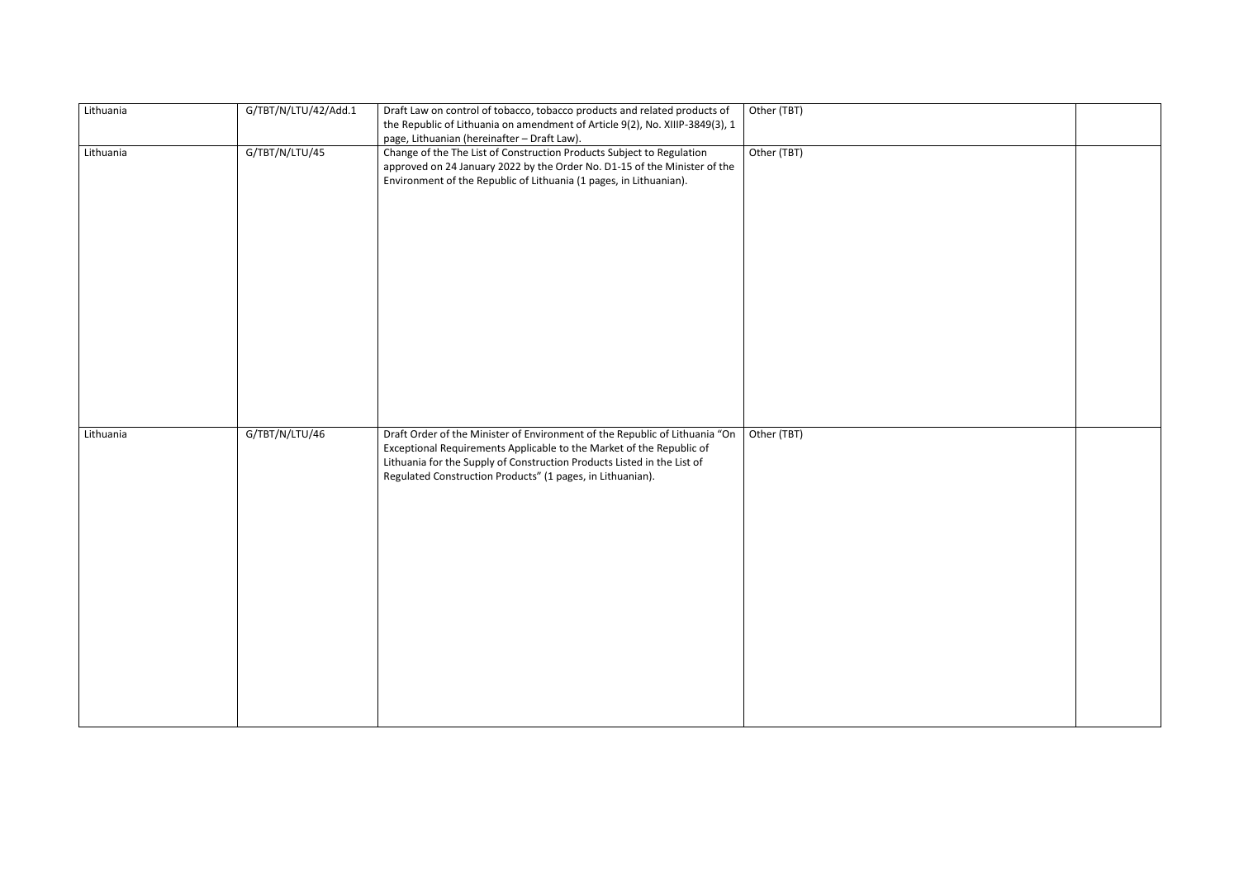| Lithuania | G/TBT/N/LTU/42/Add.1 | Draft Law on control of tobacco, tobacco products and related products of<br>the Republic of Lithuania on amendment of Article 9(2), No. XIIIP-3849(3), 1<br>page, Lithuanian (hereinafter - Draft Law).                                                                                     | Other (TBT) |
|-----------|----------------------|----------------------------------------------------------------------------------------------------------------------------------------------------------------------------------------------------------------------------------------------------------------------------------------------|-------------|
| Lithuania | G/TBT/N/LTU/45       | Change of the The List of Construction Products Subject to Regulation<br>approved on 24 January 2022 by the Order No. D1-15 of the Minister of the<br>Environment of the Republic of Lithuania (1 pages, in Lithuanian).                                                                     | Other (TBT) |
| Lithuania | G/TBT/N/LTU/46       | Draft Order of the Minister of Environment of the Republic of Lithuania "On<br>Exceptional Requirements Applicable to the Market of the Republic of<br>Lithuania for the Supply of Construction Products Listed in the List of<br>Regulated Construction Products" (1 pages, in Lithuanian). | Other (TBT) |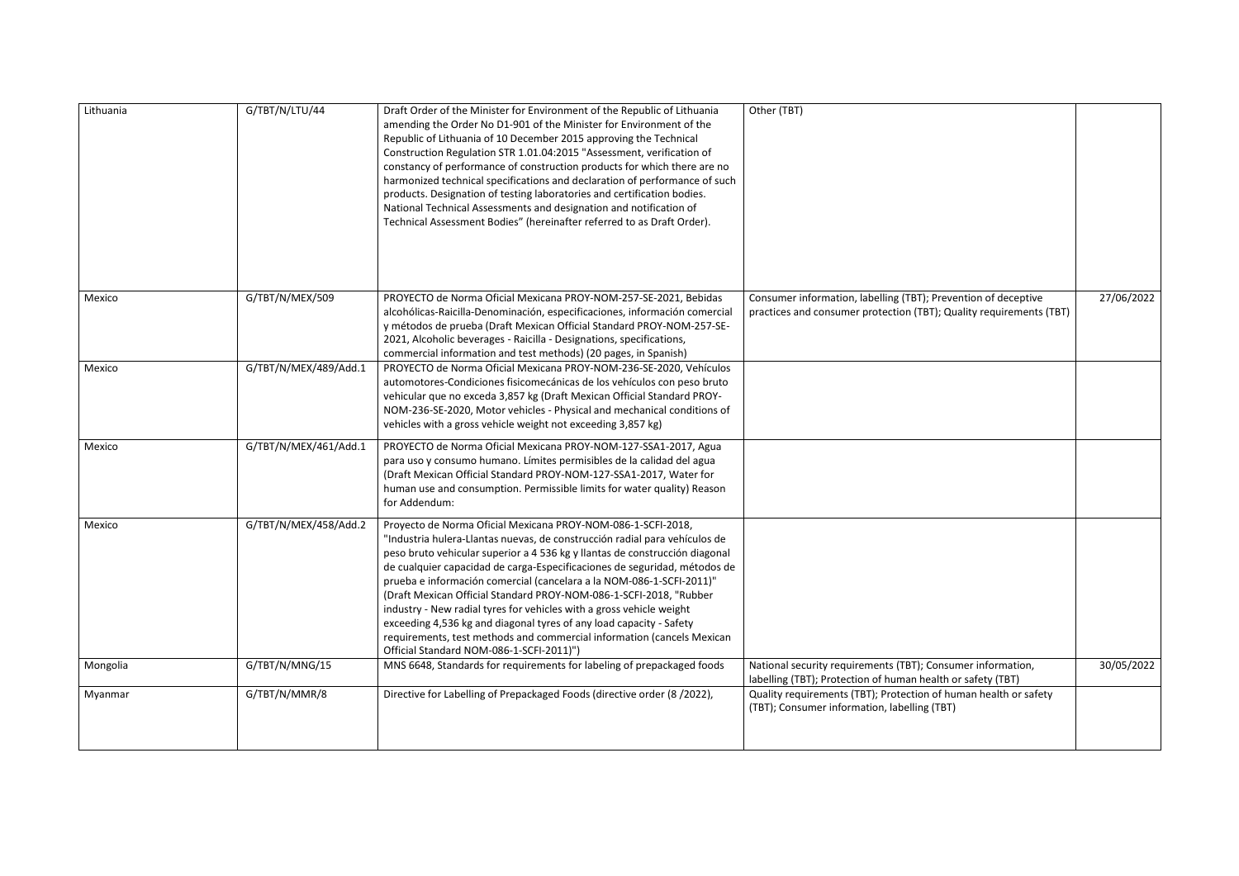| Lithuania | G/TBT/N/LTU/44        | Draft Order of the Minister for Environment of the Republic of Lithuania<br>amending the Order No D1-901 of the Minister for Environment of the<br>Republic of Lithuania of 10 December 2015 approving the Technical<br>Construction Regulation STR 1.01.04:2015 "Assessment, verification of<br>constancy of performance of construction products for which there are no<br>harmonized technical specifications and declaration of performance of such<br>products. Designation of testing laboratories and certification bodies.<br>National Technical Assessments and designation and notification of<br>Technical Assessment Bodies" (hereinafter referred to as Draft Order).                                        | Other (TBT)                                                                                                                           |            |
|-----------|-----------------------|---------------------------------------------------------------------------------------------------------------------------------------------------------------------------------------------------------------------------------------------------------------------------------------------------------------------------------------------------------------------------------------------------------------------------------------------------------------------------------------------------------------------------------------------------------------------------------------------------------------------------------------------------------------------------------------------------------------------------|---------------------------------------------------------------------------------------------------------------------------------------|------------|
| Mexico    | G/TBT/N/MEX/509       | PROYECTO de Norma Oficial Mexicana PROY-NOM-257-SE-2021, Bebidas<br>alcohólicas-Raicilla-Denominación, especificaciones, información comercial<br>y métodos de prueba (Draft Mexican Official Standard PROY-NOM-257-SE-<br>2021, Alcoholic beverages - Raicilla - Designations, specifications,<br>commercial information and test methods) (20 pages, in Spanish)                                                                                                                                                                                                                                                                                                                                                        | Consumer information, labelling (TBT); Prevention of deceptive<br>practices and consumer protection (TBT); Quality requirements (TBT) | 27/06/2022 |
| Mexico    | G/TBT/N/MEX/489/Add.1 | PROYECTO de Norma Oficial Mexicana PROY-NOM-236-SE-2020, Vehículos<br>automotores-Condiciones fisicomecánicas de los vehículos con peso bruto<br>vehicular que no exceda 3,857 kg (Draft Mexican Official Standard PROY-<br>NOM-236-SE-2020, Motor vehicles - Physical and mechanical conditions of<br>vehicles with a gross vehicle weight not exceeding 3,857 kg)                                                                                                                                                                                                                                                                                                                                                       |                                                                                                                                       |            |
| Mexico    | G/TBT/N/MEX/461/Add.1 | PROYECTO de Norma Oficial Mexicana PROY-NOM-127-SSA1-2017, Agua<br>para uso y consumo humano. Límites permisibles de la calidad del agua<br>(Draft Mexican Official Standard PROY-NOM-127-SSA1-2017, Water for<br>human use and consumption. Permissible limits for water quality) Reason<br>for Addendum:                                                                                                                                                                                                                                                                                                                                                                                                                |                                                                                                                                       |            |
| Mexico    | G/TBT/N/MEX/458/Add.2 | Proyecto de Norma Oficial Mexicana PROY-NOM-086-1-SCFI-2018,<br>"Industria hulera-Llantas nuevas, de construcción radial para vehículos de<br>peso bruto vehicular superior a 4 536 kg y llantas de construcción diagonal<br>de cualquier capacidad de carga-Especificaciones de seguridad, métodos de<br>prueba e información comercial (cancelara a la NOM-086-1-SCFI-2011)"<br>(Draft Mexican Official Standard PROY-NOM-086-1-SCFI-2018, "Rubber<br>industry - New radial tyres for vehicles with a gross vehicle weight<br>exceeding 4,536 kg and diagonal tyres of any load capacity - Safety<br>requirements, test methods and commercial information (cancels Mexican<br>Official Standard NOM-086-1-SCFI-2011)") |                                                                                                                                       |            |
| Mongolia  | G/TBT/N/MNG/15        | MNS 6648, Standards for requirements for labeling of prepackaged foods                                                                                                                                                                                                                                                                                                                                                                                                                                                                                                                                                                                                                                                    | National security requirements (TBT); Consumer information,<br>labelling (TBT); Protection of human health or safety (TBT)            | 30/05/2022 |
| Myanmar   | G/TBT/N/MMR/8         | Directive for Labelling of Prepackaged Foods (directive order (8/2022),                                                                                                                                                                                                                                                                                                                                                                                                                                                                                                                                                                                                                                                   | Quality requirements (TBT); Protection of human health or safety<br>(TBT); Consumer information, labelling (TBT)                      |            |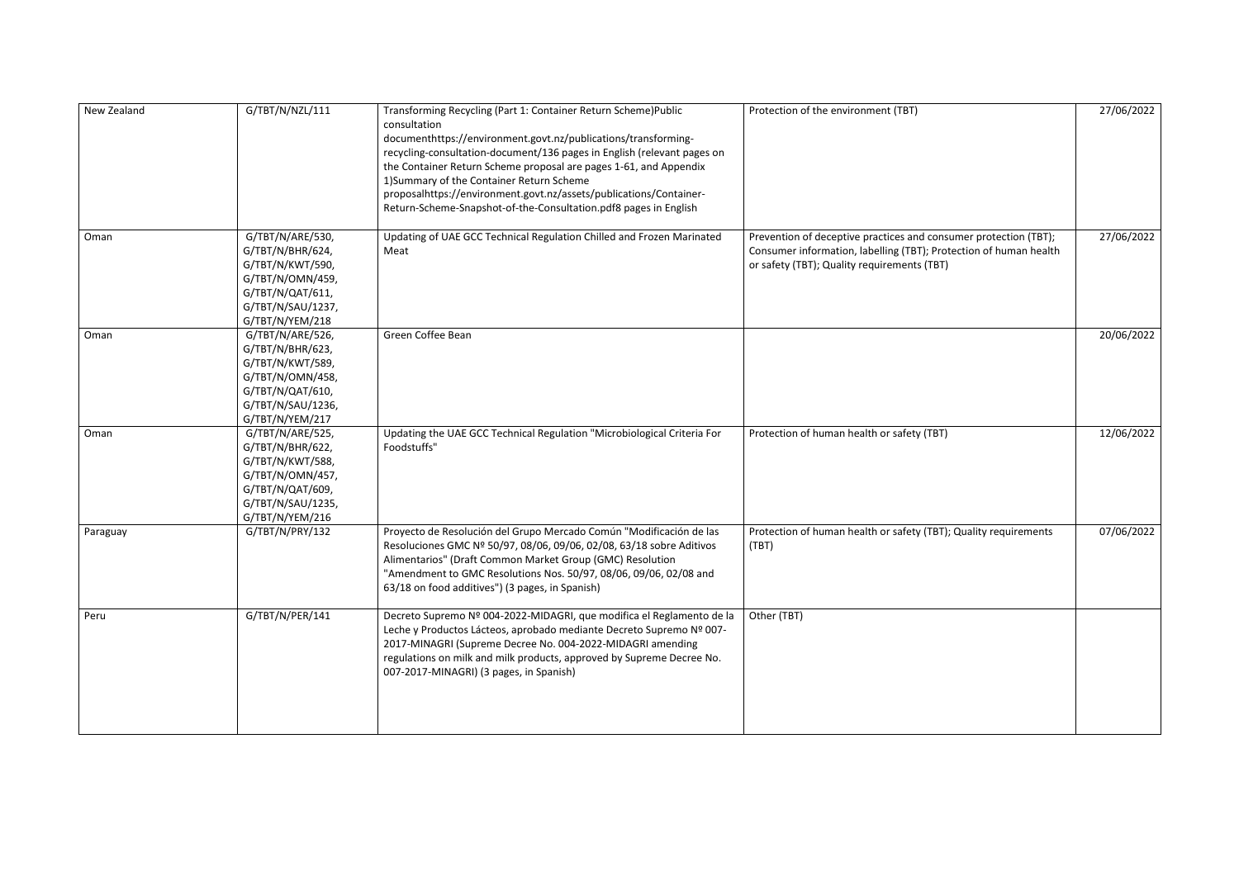| New Zealand | G/TBT/N/NZL/111                                                                                                                          | Transforming Recycling (Part 1: Container Return Scheme) Public<br>consultation<br>documenthttps://environment.govt.nz/publications/transforming-<br>recycling-consultation-document/136 pages in English (relevant pages on<br>the Container Return Scheme proposal are pages 1-61, and Appendix<br>1) Summary of the Container Return Scheme<br>proposalhttps://environment.govt.nz/assets/publications/Container-<br>Return-Scheme-Snapshot-of-the-Consultation.pdf8 pages in English | Protection of the environment (TBT)                                                                                                                                                  | 27/06/2022 |
|-------------|------------------------------------------------------------------------------------------------------------------------------------------|------------------------------------------------------------------------------------------------------------------------------------------------------------------------------------------------------------------------------------------------------------------------------------------------------------------------------------------------------------------------------------------------------------------------------------------------------------------------------------------|--------------------------------------------------------------------------------------------------------------------------------------------------------------------------------------|------------|
| Oman        | G/TBT/N/ARE/530,<br>G/TBT/N/BHR/624,<br>G/TBT/N/KWT/590,<br>G/TBT/N/OMN/459,<br>G/TBT/N/QAT/611,<br>G/TBT/N/SAU/1237,<br>G/TBT/N/YEM/218 | Updating of UAE GCC Technical Regulation Chilled and Frozen Marinated<br>Meat                                                                                                                                                                                                                                                                                                                                                                                                            | Prevention of deceptive practices and consumer protection (TBT);<br>Consumer information, labelling (TBT); Protection of human health<br>or safety (TBT); Quality requirements (TBT) | 27/06/2022 |
| Oman        | G/TBT/N/ARE/526,<br>G/TBT/N/BHR/623,<br>G/TBT/N/KWT/589,<br>G/TBT/N/OMN/458,<br>G/TBT/N/QAT/610,<br>G/TBT/N/SAU/1236,<br>G/TBT/N/YEM/217 | Green Coffee Bean                                                                                                                                                                                                                                                                                                                                                                                                                                                                        |                                                                                                                                                                                      | 20/06/2022 |
| Oman        | G/TBT/N/ARE/525,<br>G/TBT/N/BHR/622,<br>G/TBT/N/KWT/588,<br>G/TBT/N/OMN/457,<br>G/TBT/N/QAT/609,<br>G/TBT/N/SAU/1235,<br>G/TBT/N/YEM/216 | Updating the UAE GCC Technical Regulation "Microbiological Criteria For<br>Foodstuffs"                                                                                                                                                                                                                                                                                                                                                                                                   | Protection of human health or safety (TBT)                                                                                                                                           | 12/06/2022 |
| Paraguay    | G/TBT/N/PRY/132                                                                                                                          | Proyecto de Resolución del Grupo Mercado Común "Modificación de las<br>Resoluciones GMC Nº 50/97, 08/06, 09/06, 02/08, 63/18 sobre Aditivos<br>Alimentarios" (Draft Common Market Group (GMC) Resolution<br>"Amendment to GMC Resolutions Nos. 50/97, 08/06, 09/06, 02/08 and<br>63/18 on food additives") (3 pages, in Spanish)                                                                                                                                                         | Protection of human health or safety (TBT); Quality requirements<br>(TBT)                                                                                                            | 07/06/2022 |
| Peru        | G/TBT/N/PER/141                                                                                                                          | Decreto Supremo Nº 004-2022-MIDAGRI, que modifica el Reglamento de la<br>Leche y Productos Lácteos, aprobado mediante Decreto Supremo Nº 007-<br>2017-MINAGRI (Supreme Decree No. 004-2022-MIDAGRI amending<br>regulations on milk and milk products, approved by Supreme Decree No.<br>007-2017-MINAGRI) (3 pages, in Spanish)                                                                                                                                                          | Other (TBT)                                                                                                                                                                          |            |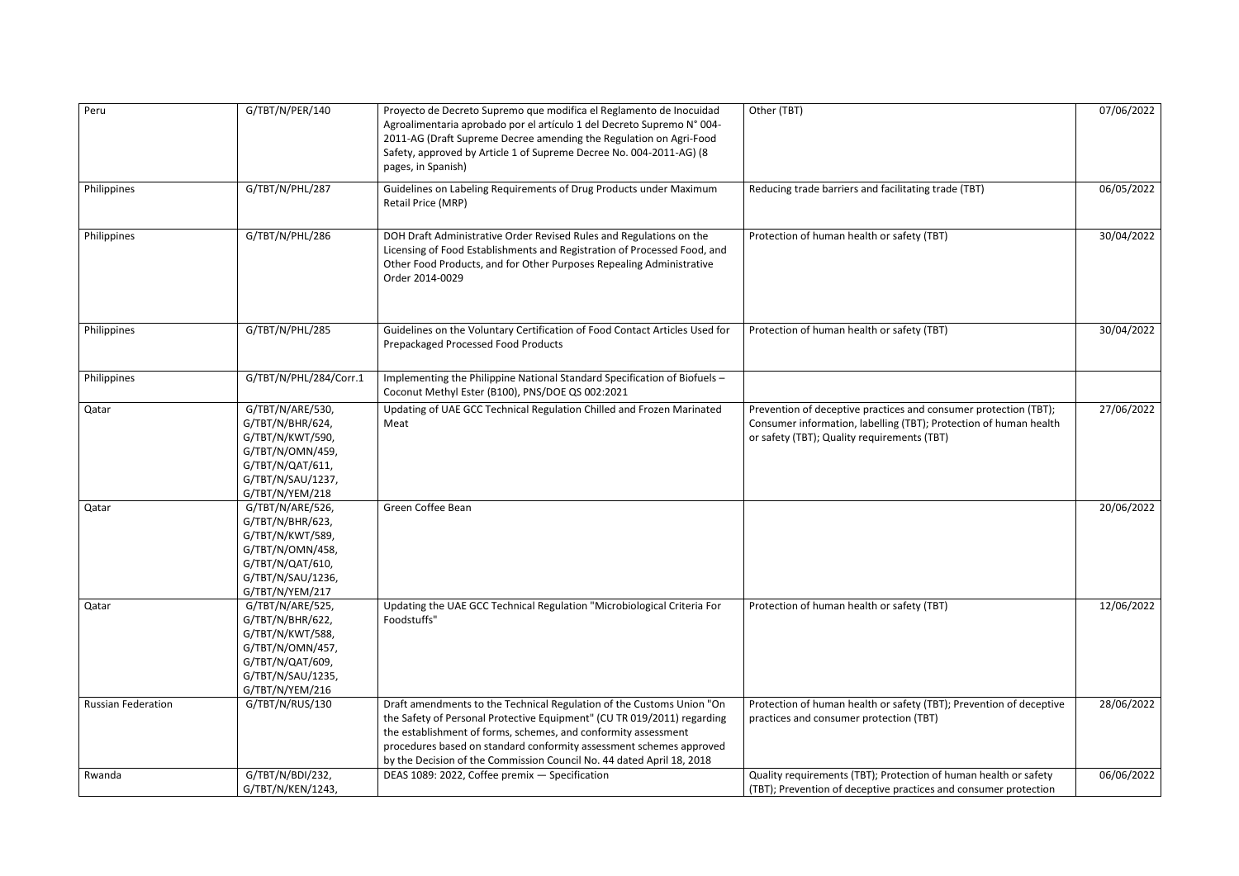| Peru                      | G/TBT/N/PER/140                                                                                                                          | Proyecto de Decreto Supremo que modifica el Reglamento de Inocuidad<br>Agroalimentaria aprobado por el artículo 1 del Decreto Supremo Nº 004-<br>2011-AG (Draft Supreme Decree amending the Regulation on Agri-Food<br>Safety, approved by Article 1 of Supreme Decree No. 004-2011-AG) (8<br>pages, in Spanish)                                                   | Other (TBT)                                                                                                                                                                          | 07/06/2022 |
|---------------------------|------------------------------------------------------------------------------------------------------------------------------------------|--------------------------------------------------------------------------------------------------------------------------------------------------------------------------------------------------------------------------------------------------------------------------------------------------------------------------------------------------------------------|--------------------------------------------------------------------------------------------------------------------------------------------------------------------------------------|------------|
| Philippines               | G/TBT/N/PHL/287                                                                                                                          | Guidelines on Labeling Requirements of Drug Products under Maximum<br>Retail Price (MRP)                                                                                                                                                                                                                                                                           | Reducing trade barriers and facilitating trade (TBT)                                                                                                                                 | 06/05/2022 |
| Philippines               | G/TBT/N/PHL/286                                                                                                                          | DOH Draft Administrative Order Revised Rules and Regulations on the<br>Licensing of Food Establishments and Registration of Processed Food, and<br>Other Food Products, and for Other Purposes Repealing Administrative<br>Order 2014-0029                                                                                                                         | Protection of human health or safety (TBT)                                                                                                                                           | 30/04/2022 |
| Philippines               | G/TBT/N/PHL/285                                                                                                                          | Guidelines on the Voluntary Certification of Food Contact Articles Used for<br>Prepackaged Processed Food Products                                                                                                                                                                                                                                                 | Protection of human health or safety (TBT)                                                                                                                                           | 30/04/2022 |
| Philippines               | G/TBT/N/PHL/284/Corr.1                                                                                                                   | Implementing the Philippine National Standard Specification of Biofuels -<br>Coconut Methyl Ester (B100), PNS/DOE QS 002:2021                                                                                                                                                                                                                                      |                                                                                                                                                                                      |            |
| Qatar                     | G/TBT/N/ARE/530,<br>G/TBT/N/BHR/624,<br>G/TBT/N/KWT/590,<br>G/TBT/N/OMN/459,<br>G/TBT/N/QAT/611,<br>G/TBT/N/SAU/1237,<br>G/TBT/N/YEM/218 | Updating of UAE GCC Technical Regulation Chilled and Frozen Marinated<br>Meat                                                                                                                                                                                                                                                                                      | Prevention of deceptive practices and consumer protection (TBT);<br>Consumer information, labelling (TBT); Protection of human health<br>or safety (TBT); Quality requirements (TBT) | 27/06/2022 |
| Qatar                     | G/TBT/N/ARE/526,<br>G/TBT/N/BHR/623,<br>G/TBT/N/KWT/589,<br>G/TBT/N/OMN/458,<br>G/TBT/N/QAT/610,<br>G/TBT/N/SAU/1236,<br>G/TBT/N/YEM/217 | Green Coffee Bean                                                                                                                                                                                                                                                                                                                                                  |                                                                                                                                                                                      | 20/06/2022 |
| Qatar                     | G/TBT/N/ARE/525,<br>G/TBT/N/BHR/622,<br>G/TBT/N/KWT/588,<br>G/TBT/N/OMN/457,<br>G/TBT/N/QAT/609,<br>G/TBT/N/SAU/1235,<br>G/TBT/N/YEM/216 | Updating the UAE GCC Technical Regulation "Microbiological Criteria For<br>Foodstuffs"                                                                                                                                                                                                                                                                             | Protection of human health or safety (TBT)                                                                                                                                           | 12/06/2022 |
| <b>Russian Federation</b> | G/TBT/N/RUS/130                                                                                                                          | Draft amendments to the Technical Regulation of the Customs Union "On<br>the Safety of Personal Protective Equipment" (CU TR 019/2011) regarding<br>the establishment of forms, schemes, and conformity assessment<br>procedures based on standard conformity assessment schemes approved<br>by the Decision of the Commission Council No. 44 dated April 18, 2018 | Protection of human health or safety (TBT); Prevention of deceptive<br>practices and consumer protection (TBT)                                                                       | 28/06/2022 |
| Rwanda                    | G/TBT/N/BDI/232,<br>G/TBT/N/KEN/1243,                                                                                                    | DEAS 1089: 2022, Coffee premix - Specification                                                                                                                                                                                                                                                                                                                     | Quality requirements (TBT); Protection of human health or safety<br>(TBT); Prevention of deceptive practices and consumer protection                                                 | 06/06/2022 |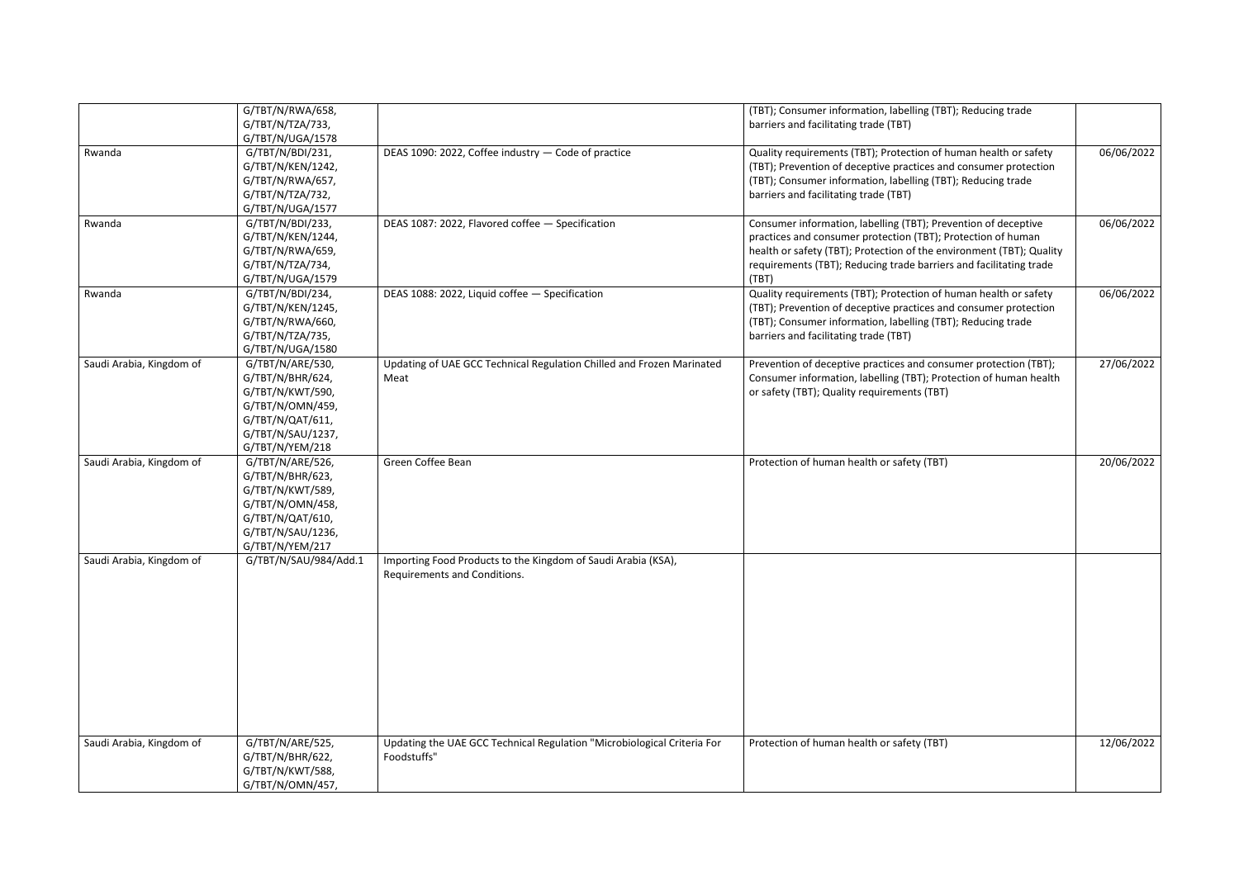|                          | G/TBT/N/RWA/658,      |                                                                         | (TBT); Consumer information, labelling (TBT); Reducing trade         |            |
|--------------------------|-----------------------|-------------------------------------------------------------------------|----------------------------------------------------------------------|------------|
|                          | G/TBT/N/TZA/733,      |                                                                         | barriers and facilitating trade (TBT)                                |            |
|                          | G/TBT/N/UGA/1578      |                                                                         |                                                                      |            |
| Rwanda                   | G/TBT/N/BDI/231,      | DEAS 1090: 2022, Coffee industry - Code of practice                     | Quality requirements (TBT); Protection of human health or safety     | 06/06/2022 |
|                          | G/TBT/N/KEN/1242,     |                                                                         | (TBT); Prevention of deceptive practices and consumer protection     |            |
|                          | G/TBT/N/RWA/657,      |                                                                         | (TBT); Consumer information, labelling (TBT); Reducing trade         |            |
|                          | G/TBT/N/TZA/732,      |                                                                         | barriers and facilitating trade (TBT)                                |            |
|                          | G/TBT/N/UGA/1577      |                                                                         |                                                                      |            |
| Rwanda                   | G/TBT/N/BDI/233,      | DEAS 1087: 2022, Flavored coffee - Specification                        | Consumer information, labelling (TBT); Prevention of deceptive       | 06/06/2022 |
|                          | G/TBT/N/KEN/1244,     |                                                                         | practices and consumer protection (TBT); Protection of human         |            |
|                          | G/TBT/N/RWA/659,      |                                                                         | health or safety (TBT); Protection of the environment (TBT); Quality |            |
|                          | G/TBT/N/TZA/734,      |                                                                         | requirements (TBT); Reducing trade barriers and facilitating trade   |            |
|                          | G/TBT/N/UGA/1579      |                                                                         | (TBT)                                                                |            |
| Rwanda                   | G/TBT/N/BDI/234,      | DEAS 1088: 2022, Liquid coffee - Specification                          | Quality requirements (TBT); Protection of human health or safety     | 06/06/2022 |
|                          | G/TBT/N/KEN/1245,     |                                                                         | (TBT); Prevention of deceptive practices and consumer protection     |            |
|                          | G/TBT/N/RWA/660,      |                                                                         | (TBT); Consumer information, labelling (TBT); Reducing trade         |            |
|                          | G/TBT/N/TZA/735,      |                                                                         | barriers and facilitating trade (TBT)                                |            |
|                          | G/TBT/N/UGA/1580      |                                                                         |                                                                      |            |
| Saudi Arabia, Kingdom of | G/TBT/N/ARE/530,      | Updating of UAE GCC Technical Regulation Chilled and Frozen Marinated   | Prevention of deceptive practices and consumer protection (TBT);     | 27/06/2022 |
|                          | G/TBT/N/BHR/624,      | Meat                                                                    | Consumer information, labelling (TBT); Protection of human health    |            |
|                          | G/TBT/N/KWT/590,      |                                                                         | or safety (TBT); Quality requirements (TBT)                          |            |
|                          | G/TBT/N/OMN/459,      |                                                                         |                                                                      |            |
|                          | G/TBT/N/QAT/611,      |                                                                         |                                                                      |            |
|                          | G/TBT/N/SAU/1237,     |                                                                         |                                                                      |            |
|                          | G/TBT/N/YEM/218       |                                                                         |                                                                      |            |
| Saudi Arabia, Kingdom of | G/TBT/N/ARE/526,      | Green Coffee Bean                                                       | Protection of human health or safety (TBT)                           | 20/06/2022 |
|                          | G/TBT/N/BHR/623,      |                                                                         |                                                                      |            |
|                          | G/TBT/N/KWT/589,      |                                                                         |                                                                      |            |
|                          | G/TBT/N/OMN/458,      |                                                                         |                                                                      |            |
|                          | G/TBT/N/QAT/610,      |                                                                         |                                                                      |            |
|                          | G/TBT/N/SAU/1236,     |                                                                         |                                                                      |            |
|                          | G/TBT/N/YEM/217       |                                                                         |                                                                      |            |
| Saudi Arabia, Kingdom of | G/TBT/N/SAU/984/Add.1 | Importing Food Products to the Kingdom of Saudi Arabia (KSA),           |                                                                      |            |
|                          |                       |                                                                         |                                                                      |            |
|                          |                       | Requirements and Conditions.                                            |                                                                      |            |
|                          |                       |                                                                         |                                                                      |            |
|                          |                       |                                                                         |                                                                      |            |
|                          |                       |                                                                         |                                                                      |            |
|                          |                       |                                                                         |                                                                      |            |
|                          |                       |                                                                         |                                                                      |            |
|                          |                       |                                                                         |                                                                      |            |
|                          |                       |                                                                         |                                                                      |            |
|                          |                       |                                                                         |                                                                      |            |
|                          |                       |                                                                         |                                                                      |            |
|                          |                       |                                                                         |                                                                      |            |
|                          |                       |                                                                         |                                                                      |            |
| Saudi Arabia, Kingdom of | G/TBT/N/ARE/525,      | Updating the UAE GCC Technical Regulation "Microbiological Criteria For | Protection of human health or safety (TBT)                           | 12/06/2022 |
|                          | G/TBT/N/BHR/622,      | Foodstuffs"                                                             |                                                                      |            |
|                          | G/TBT/N/KWT/588,      |                                                                         |                                                                      |            |
|                          | G/TBT/N/OMN/457,      |                                                                         |                                                                      |            |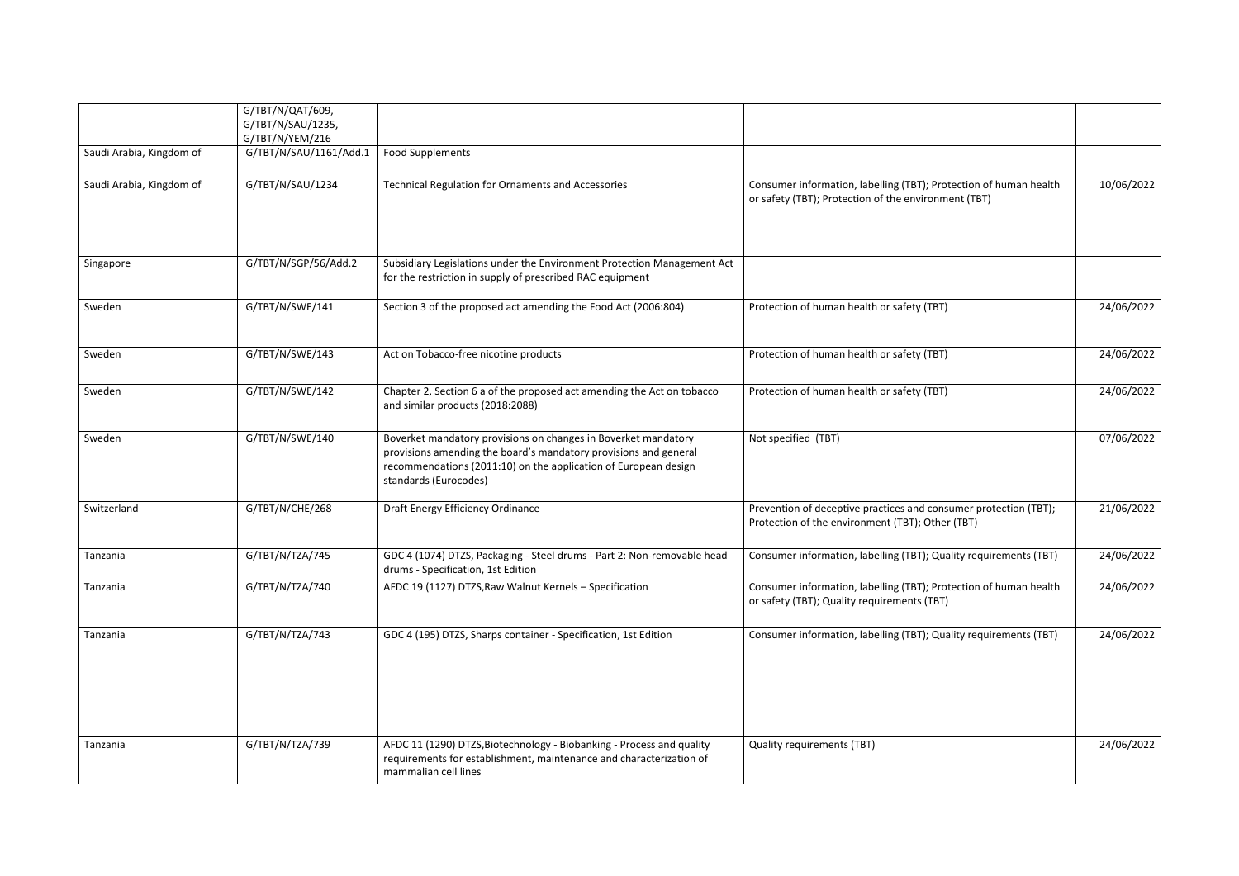|                          | G/TBT/N/QAT/609,<br>G/TBT/N/SAU/1235,<br>G/TBT/N/YEM/216 |                                                                                                                                                                                                                                |                                                                                                                           |            |
|--------------------------|----------------------------------------------------------|--------------------------------------------------------------------------------------------------------------------------------------------------------------------------------------------------------------------------------|---------------------------------------------------------------------------------------------------------------------------|------------|
| Saudi Arabia, Kingdom of | G/TBT/N/SAU/1161/Add.1                                   | <b>Food Supplements</b>                                                                                                                                                                                                        |                                                                                                                           |            |
| Saudi Arabia, Kingdom of | G/TBT/N/SAU/1234                                         | <b>Technical Regulation for Ornaments and Accessories</b>                                                                                                                                                                      | Consumer information, labelling (TBT); Protection of human health<br>or safety (TBT); Protection of the environment (TBT) | 10/06/2022 |
| Singapore                | G/TBT/N/SGP/56/Add.2                                     | Subsidiary Legislations under the Environment Protection Management Act<br>for the restriction in supply of prescribed RAC equipment                                                                                           |                                                                                                                           |            |
| Sweden                   | G/TBT/N/SWE/141                                          | Section 3 of the proposed act amending the Food Act (2006:804)                                                                                                                                                                 | Protection of human health or safety (TBT)                                                                                | 24/06/2022 |
| Sweden                   | G/TBT/N/SWE/143                                          | Act on Tobacco-free nicotine products                                                                                                                                                                                          | Protection of human health or safety (TBT)                                                                                | 24/06/2022 |
| Sweden                   | G/TBT/N/SWE/142                                          | Chapter 2, Section 6 a of the proposed act amending the Act on tobacco<br>and similar products (2018:2088)                                                                                                                     | Protection of human health or safety (TBT)                                                                                | 24/06/2022 |
| Sweden                   | G/TBT/N/SWE/140                                          | Boverket mandatory provisions on changes in Boverket mandatory<br>provisions amending the board's mandatory provisions and general<br>recommendations (2011:10) on the application of European design<br>standards (Eurocodes) | Not specified (TBT)                                                                                                       | 07/06/2022 |
| Switzerland              | G/TBT/N/CHE/268                                          | Draft Energy Efficiency Ordinance                                                                                                                                                                                              | Prevention of deceptive practices and consumer protection (TBT);<br>Protection of the environment (TBT); Other (TBT)      | 21/06/2022 |
| Tanzania                 | G/TBT/N/TZA/745                                          | GDC 4 (1074) DTZS, Packaging - Steel drums - Part 2: Non-removable head<br>drums - Specification, 1st Edition                                                                                                                  | Consumer information, labelling (TBT); Quality requirements (TBT)                                                         | 24/06/2022 |
| Tanzania                 | G/TBT/N/TZA/740                                          | AFDC 19 (1127) DTZS, Raw Walnut Kernels - Specification                                                                                                                                                                        | Consumer information, labelling (TBT); Protection of human health<br>or safety (TBT); Quality requirements (TBT)          | 24/06/2022 |
| Tanzania                 | G/TBT/N/TZA/743                                          | GDC 4 (195) DTZS, Sharps container - Specification, 1st Edition                                                                                                                                                                | Consumer information, labelling (TBT); Quality requirements (TBT)                                                         | 24/06/2022 |
| Tanzania                 | G/TBT/N/TZA/739                                          | AFDC 11 (1290) DTZS, Biotechnology - Biobanking - Process and quality<br>requirements for establishment, maintenance and characterization of<br>mammalian cell lines                                                           | <b>Quality requirements (TBT)</b>                                                                                         | 24/06/2022 |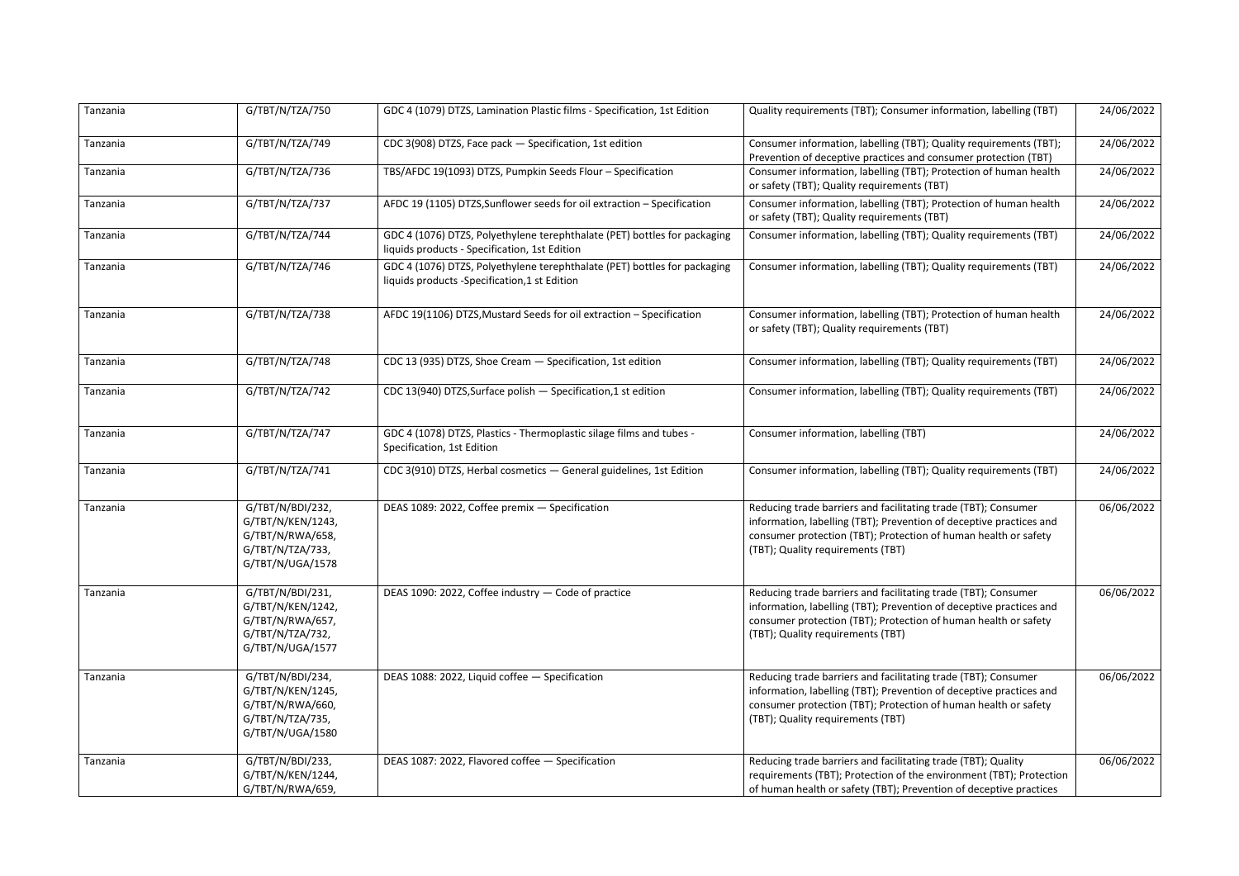| Tanzania | G/TBT/N/TZA/750                                                                                   | GDC 4 (1079) DTZS, Lamination Plastic films - Specification, 1st Edition                                                   | Quality requirements (TBT); Consumer information, labelling (TBT)                                                                                                                                                                             | 24/06/2022 |
|----------|---------------------------------------------------------------------------------------------------|----------------------------------------------------------------------------------------------------------------------------|-----------------------------------------------------------------------------------------------------------------------------------------------------------------------------------------------------------------------------------------------|------------|
| Tanzania | G/TBT/N/TZA/749                                                                                   | CDC 3(908) DTZS, Face pack - Specification, 1st edition                                                                    | Consumer information, labelling (TBT); Quality requirements (TBT);<br>Prevention of deceptive practices and consumer protection (TBT)                                                                                                         | 24/06/2022 |
| Tanzania | G/TBT/N/TZA/736                                                                                   | TBS/AFDC 19(1093) DTZS, Pumpkin Seeds Flour - Specification                                                                | Consumer information, labelling (TBT); Protection of human health<br>or safety (TBT); Quality requirements (TBT)                                                                                                                              | 24/06/2022 |
| Tanzania | G/TBT/N/TZA/737                                                                                   | AFDC 19 (1105) DTZS, Sunflower seeds for oil extraction - Specification                                                    | Consumer information, labelling (TBT); Protection of human health<br>or safety (TBT); Quality requirements (TBT)                                                                                                                              | 24/06/2022 |
| Tanzania | G/TBT/N/TZA/744                                                                                   | GDC 4 (1076) DTZS, Polyethylene terephthalate (PET) bottles for packaging<br>liquids products - Specification, 1st Edition | Consumer information, labelling (TBT); Quality requirements (TBT)                                                                                                                                                                             | 24/06/2022 |
| Tanzania | G/TBT/N/TZA/746                                                                                   | GDC 4 (1076) DTZS, Polyethylene terephthalate (PET) bottles for packaging<br>liquids products -Specification,1 st Edition  | Consumer information, labelling (TBT); Quality requirements (TBT)                                                                                                                                                                             | 24/06/2022 |
| Tanzania | G/TBT/N/TZA/738                                                                                   | AFDC 19(1106) DTZS, Mustard Seeds for oil extraction - Specification                                                       | Consumer information, labelling (TBT); Protection of human health<br>or safety (TBT); Quality requirements (TBT)                                                                                                                              | 24/06/2022 |
| Tanzania | G/TBT/N/TZA/748                                                                                   | CDC 13 (935) DTZS, Shoe Cream - Specification, 1st edition                                                                 | Consumer information, labelling (TBT); Quality requirements (TBT)                                                                                                                                                                             | 24/06/2022 |
| Tanzania | G/TBT/N/TZA/742                                                                                   | CDC 13(940) DTZS, Surface polish - Specification, 1 st edition                                                             | Consumer information, labelling (TBT); Quality requirements (TBT)                                                                                                                                                                             | 24/06/2022 |
| Tanzania | G/TBT/N/TZA/747                                                                                   | GDC 4 (1078) DTZS, Plastics - Thermoplastic silage films and tubes -<br>Specification, 1st Edition                         | Consumer information, labelling (TBT)                                                                                                                                                                                                         | 24/06/2022 |
| Tanzania | G/TBT/N/TZA/741                                                                                   | CDC 3(910) DTZS, Herbal cosmetics - General guidelines, 1st Edition                                                        | Consumer information, labelling (TBT); Quality requirements (TBT)                                                                                                                                                                             | 24/06/2022 |
| Tanzania | G/TBT/N/BDI/232,<br>G/TBT/N/KEN/1243,<br>G/TBT/N/RWA/658,<br>G/TBT/N/TZA/733,<br>G/TBT/N/UGA/1578 | DEAS 1089: 2022, Coffee premix - Specification                                                                             | Reducing trade barriers and facilitating trade (TBT); Consumer<br>information, labelling (TBT); Prevention of deceptive practices and<br>consumer protection (TBT); Protection of human health or safety<br>(TBT); Quality requirements (TBT) | 06/06/2022 |
| Tanzania | G/TBT/N/BDI/231,<br>G/TBT/N/KEN/1242,<br>G/TBT/N/RWA/657,<br>G/TBT/N/TZA/732,<br>G/TBT/N/UGA/1577 | DEAS 1090: 2022, Coffee industry - Code of practice                                                                        | Reducing trade barriers and facilitating trade (TBT); Consumer<br>information, labelling (TBT); Prevention of deceptive practices and<br>consumer protection (TBT); Protection of human health or safety<br>(TBT); Quality requirements (TBT) | 06/06/2022 |
| Tanzania | G/TBT/N/BDI/234,<br>G/TBT/N/KEN/1245,<br>G/TBT/N/RWA/660,<br>G/TBT/N/TZA/735,<br>G/TBT/N/UGA/1580 | DEAS 1088: 2022, Liquid coffee - Specification                                                                             | Reducing trade barriers and facilitating trade (TBT); Consumer<br>information, labelling (TBT); Prevention of deceptive practices and<br>consumer protection (TBT); Protection of human health or safety<br>(TBT); Quality requirements (TBT) | 06/06/2022 |
| Tanzania | G/TBT/N/BDI/233,<br>G/TBT/N/KEN/1244,<br>G/TBT/N/RWA/659,                                         | DEAS 1087: 2022, Flavored coffee - Specification                                                                           | Reducing trade barriers and facilitating trade (TBT); Quality<br>requirements (TBT); Protection of the environment (TBT); Protection<br>of human health or safety (TBT); Prevention of deceptive practices                                    | 06/06/2022 |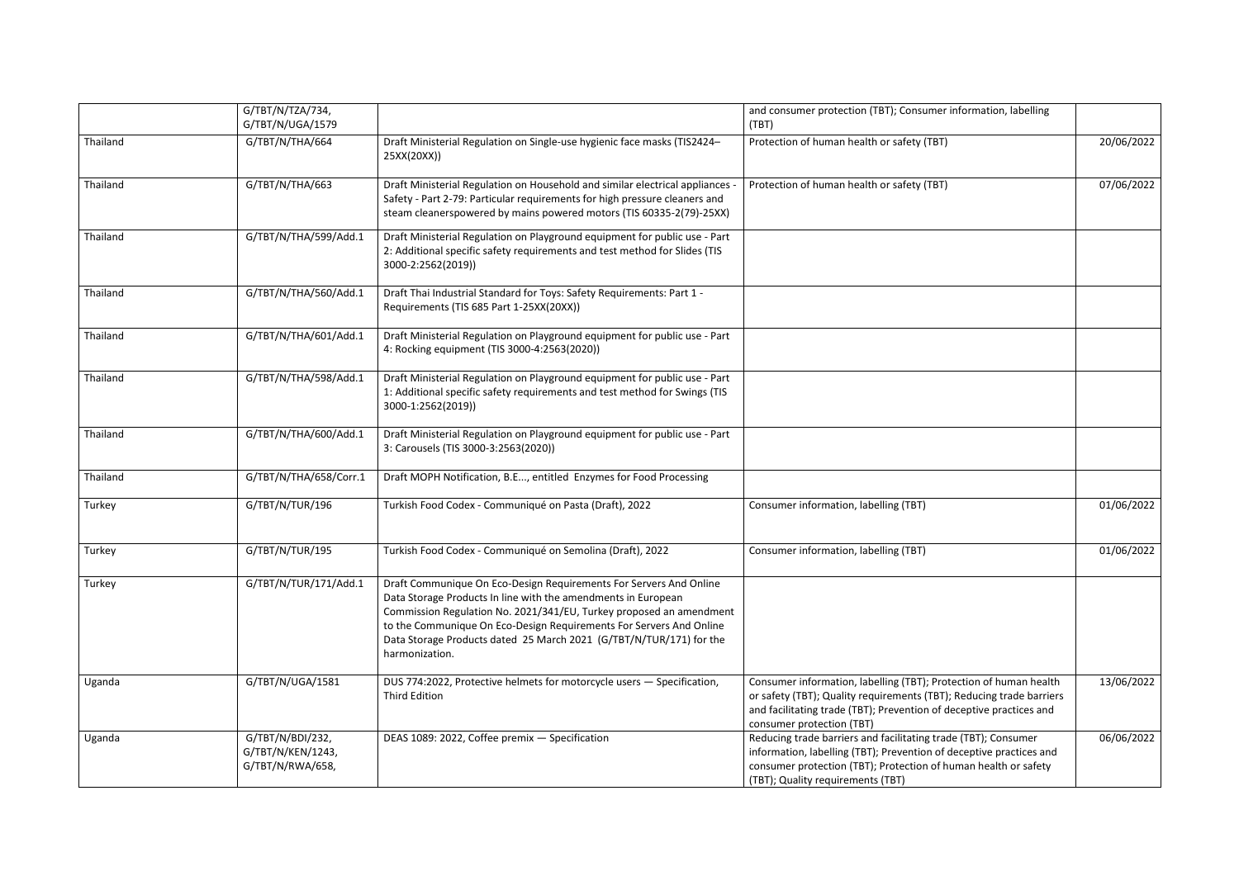|          | G/TBT/N/TZA/734,<br>G/TBT/N/UGA/1579                      |                                                                                                                                                                                                                                                                                                                                                                            | and consumer protection (TBT); Consumer information, labelling<br>(TBT)                                                                                                                                                                       |            |
|----------|-----------------------------------------------------------|----------------------------------------------------------------------------------------------------------------------------------------------------------------------------------------------------------------------------------------------------------------------------------------------------------------------------------------------------------------------------|-----------------------------------------------------------------------------------------------------------------------------------------------------------------------------------------------------------------------------------------------|------------|
| Thailand | G/TBT/N/THA/664                                           | Draft Ministerial Regulation on Single-use hygienic face masks (TIS2424-<br>25XX(20XX))                                                                                                                                                                                                                                                                                    | Protection of human health or safety (TBT)                                                                                                                                                                                                    | 20/06/2022 |
| Thailand | G/TBT/N/THA/663                                           | Draft Ministerial Regulation on Household and similar electrical appliances -<br>Safety - Part 2-79: Particular requirements for high pressure cleaners and<br>steam cleanerspowered by mains powered motors (TIS 60335-2(79)-25XX)                                                                                                                                        | Protection of human health or safety (TBT)                                                                                                                                                                                                    | 07/06/2022 |
| Thailand | G/TBT/N/THA/599/Add.1                                     | Draft Ministerial Regulation on Playground equipment for public use - Part<br>2: Additional specific safety requirements and test method for Slides (TIS<br>3000-2:2562(2019))                                                                                                                                                                                             |                                                                                                                                                                                                                                               |            |
| Thailand | G/TBT/N/THA/560/Add.1                                     | Draft Thai Industrial Standard for Toys: Safety Requirements: Part 1 -<br>Requirements (TIS 685 Part 1-25XX(20XX))                                                                                                                                                                                                                                                         |                                                                                                                                                                                                                                               |            |
| Thailand | G/TBT/N/THA/601/Add.1                                     | Draft Ministerial Regulation on Playground equipment for public use - Part<br>4: Rocking equipment (TIS 3000-4:2563(2020))                                                                                                                                                                                                                                                 |                                                                                                                                                                                                                                               |            |
| Thailand | G/TBT/N/THA/598/Add.1                                     | Draft Ministerial Regulation on Playground equipment for public use - Part<br>1: Additional specific safety requirements and test method for Swings (TIS<br>3000-1:2562(2019))                                                                                                                                                                                             |                                                                                                                                                                                                                                               |            |
| Thailand | G/TBT/N/THA/600/Add.1                                     | Draft Ministerial Regulation on Playground equipment for public use - Part<br>3: Carousels (TIS 3000-3:2563(2020))                                                                                                                                                                                                                                                         |                                                                                                                                                                                                                                               |            |
| Thailand | G/TBT/N/THA/658/Corr.1                                    | Draft MOPH Notification, B.E, entitled Enzymes for Food Processing                                                                                                                                                                                                                                                                                                         |                                                                                                                                                                                                                                               |            |
| Turkey   | G/TBT/N/TUR/196                                           | Turkish Food Codex - Communiqué on Pasta (Draft), 2022                                                                                                                                                                                                                                                                                                                     | Consumer information, labelling (TBT)                                                                                                                                                                                                         | 01/06/2022 |
| Turkey   | G/TBT/N/TUR/195                                           | Turkish Food Codex - Communiqué on Semolina (Draft), 2022                                                                                                                                                                                                                                                                                                                  | Consumer information, labelling (TBT)                                                                                                                                                                                                         | 01/06/2022 |
| Turkey   | G/TBT/N/TUR/171/Add.1                                     | Draft Communique On Eco-Design Requirements For Servers And Online<br>Data Storage Products In line with the amendments in European<br>Commission Regulation No. 2021/341/EU, Turkey proposed an amendment<br>to the Communique On Eco-Design Requirements For Servers And Online<br>Data Storage Products dated 25 March 2021 (G/TBT/N/TUR/171) for the<br>harmonization. |                                                                                                                                                                                                                                               |            |
| Uganda   | G/TBT/N/UGA/1581                                          | DUS 774:2022, Protective helmets for motorcycle users - Specification,<br><b>Third Edition</b>                                                                                                                                                                                                                                                                             | Consumer information, labelling (TBT); Protection of human health<br>or safety (TBT); Quality requirements (TBT); Reducing trade barriers<br>and facilitating trade (TBT); Prevention of deceptive practices and<br>consumer protection (TBT) | 13/06/2022 |
| Uganda   | G/TBT/N/BDI/232,<br>G/TBT/N/KEN/1243,<br>G/TBT/N/RWA/658, | DEAS 1089: 2022, Coffee premix - Specification                                                                                                                                                                                                                                                                                                                             | Reducing trade barriers and facilitating trade (TBT); Consumer<br>information, labelling (TBT); Prevention of deceptive practices and<br>consumer protection (TBT); Protection of human health or safety<br>(TBT); Quality requirements (TBT) | 06/06/2022 |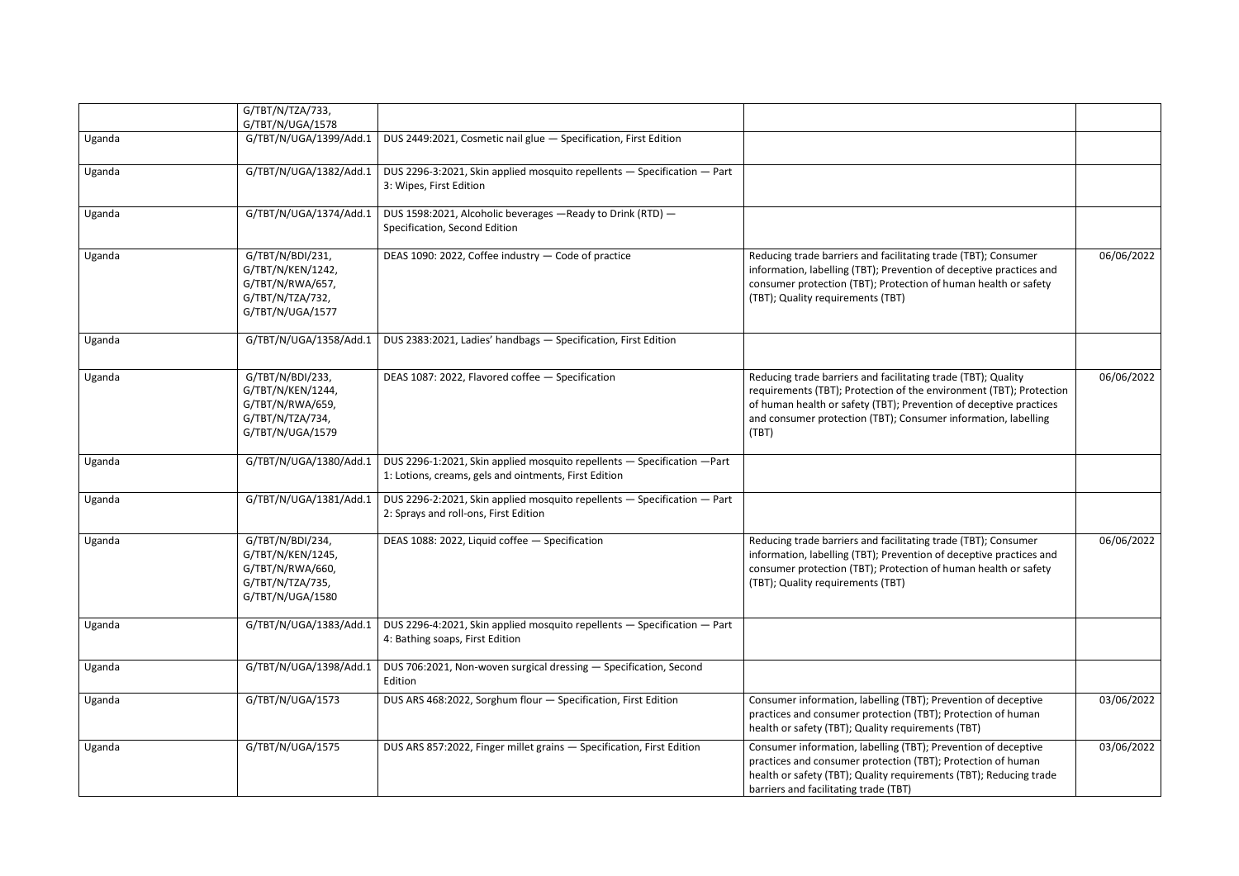|        | G/TBT/N/TZA/733,<br>G/TBT/N/UGA/1578                                                              |                                                                                                                                   |                                                                                                                                                                                                                                                                                       |            |
|--------|---------------------------------------------------------------------------------------------------|-----------------------------------------------------------------------------------------------------------------------------------|---------------------------------------------------------------------------------------------------------------------------------------------------------------------------------------------------------------------------------------------------------------------------------------|------------|
| Uganda | G/TBT/N/UGA/1399/Add.1                                                                            | DUS 2449:2021, Cosmetic nail glue - Specification, First Edition                                                                  |                                                                                                                                                                                                                                                                                       |            |
| Uganda | G/TBT/N/UGA/1382/Add.1                                                                            | DUS 2296-3:2021, Skin applied mosquito repellents - Specification - Part<br>3: Wipes, First Edition                               |                                                                                                                                                                                                                                                                                       |            |
| Uganda | G/TBT/N/UGA/1374/Add.1                                                                            | DUS 1598:2021, Alcoholic beverages - Ready to Drink (RTD) -<br>Specification, Second Edition                                      |                                                                                                                                                                                                                                                                                       |            |
| Uganda | G/TBT/N/BDI/231,<br>G/TBT/N/KEN/1242,<br>G/TBT/N/RWA/657,<br>G/TBT/N/TZA/732,<br>G/TBT/N/UGA/1577 | DEAS 1090: 2022, Coffee industry - Code of practice                                                                               | Reducing trade barriers and facilitating trade (TBT); Consumer<br>information, labelling (TBT); Prevention of deceptive practices and<br>consumer protection (TBT); Protection of human health or safety<br>(TBT); Quality requirements (TBT)                                         | 06/06/2022 |
| Uganda | G/TBT/N/UGA/1358/Add.1                                                                            | DUS 2383:2021, Ladies' handbags - Specification, First Edition                                                                    |                                                                                                                                                                                                                                                                                       |            |
| Uganda | G/TBT/N/BDI/233,<br>G/TBT/N/KEN/1244,<br>G/TBT/N/RWA/659,<br>G/TBT/N/TZA/734,<br>G/TBT/N/UGA/1579 | DEAS 1087: 2022, Flavored coffee - Specification                                                                                  | Reducing trade barriers and facilitating trade (TBT); Quality<br>requirements (TBT); Protection of the environment (TBT); Protection<br>of human health or safety (TBT); Prevention of deceptive practices<br>and consumer protection (TBT); Consumer information, labelling<br>(TBT) | 06/06/2022 |
| Uganda | G/TBT/N/UGA/1380/Add.1                                                                            | DUS 2296-1:2021, Skin applied mosquito repellents - Specification - Part<br>1: Lotions, creams, gels and ointments, First Edition |                                                                                                                                                                                                                                                                                       |            |
| Uganda | G/TBT/N/UGA/1381/Add.1                                                                            | DUS 2296-2:2021, Skin applied mosquito repellents - Specification - Part<br>2: Sprays and roll-ons, First Edition                 |                                                                                                                                                                                                                                                                                       |            |
| Uganda | G/TBT/N/BDI/234,<br>G/TBT/N/KEN/1245,<br>G/TBT/N/RWA/660,<br>G/TBT/N/TZA/735,<br>G/TBT/N/UGA/1580 | DEAS 1088: 2022, Liquid coffee - Specification                                                                                    | Reducing trade barriers and facilitating trade (TBT); Consumer<br>information, labelling (TBT); Prevention of deceptive practices and<br>consumer protection (TBT); Protection of human health or safety<br>(TBT); Quality requirements (TBT)                                         | 06/06/2022 |
| Uganda | G/TBT/N/UGA/1383/Add.1                                                                            | DUS 2296-4:2021, Skin applied mosquito repellents - Specification - Part<br>4: Bathing soaps, First Edition                       |                                                                                                                                                                                                                                                                                       |            |
| Uganda | G/TBT/N/UGA/1398/Add.1                                                                            | DUS 706:2021, Non-woven surgical dressing - Specification, Second<br>Edition                                                      |                                                                                                                                                                                                                                                                                       |            |
| Uganda | G/TBT/N/UGA/1573                                                                                  | DUS ARS 468:2022, Sorghum flour - Specification, First Edition                                                                    | Consumer information, labelling (TBT); Prevention of deceptive<br>practices and consumer protection (TBT); Protection of human<br>health or safety (TBT); Quality requirements (TBT)                                                                                                  | 03/06/2022 |
| Uganda | G/TBT/N/UGA/1575                                                                                  | DUS ARS 857:2022, Finger millet grains - Specification, First Edition                                                             | Consumer information, labelling (TBT); Prevention of deceptive<br>practices and consumer protection (TBT); Protection of human<br>health or safety (TBT); Quality requirements (TBT); Reducing trade<br>barriers and facilitating trade (TBT)                                         | 03/06/2022 |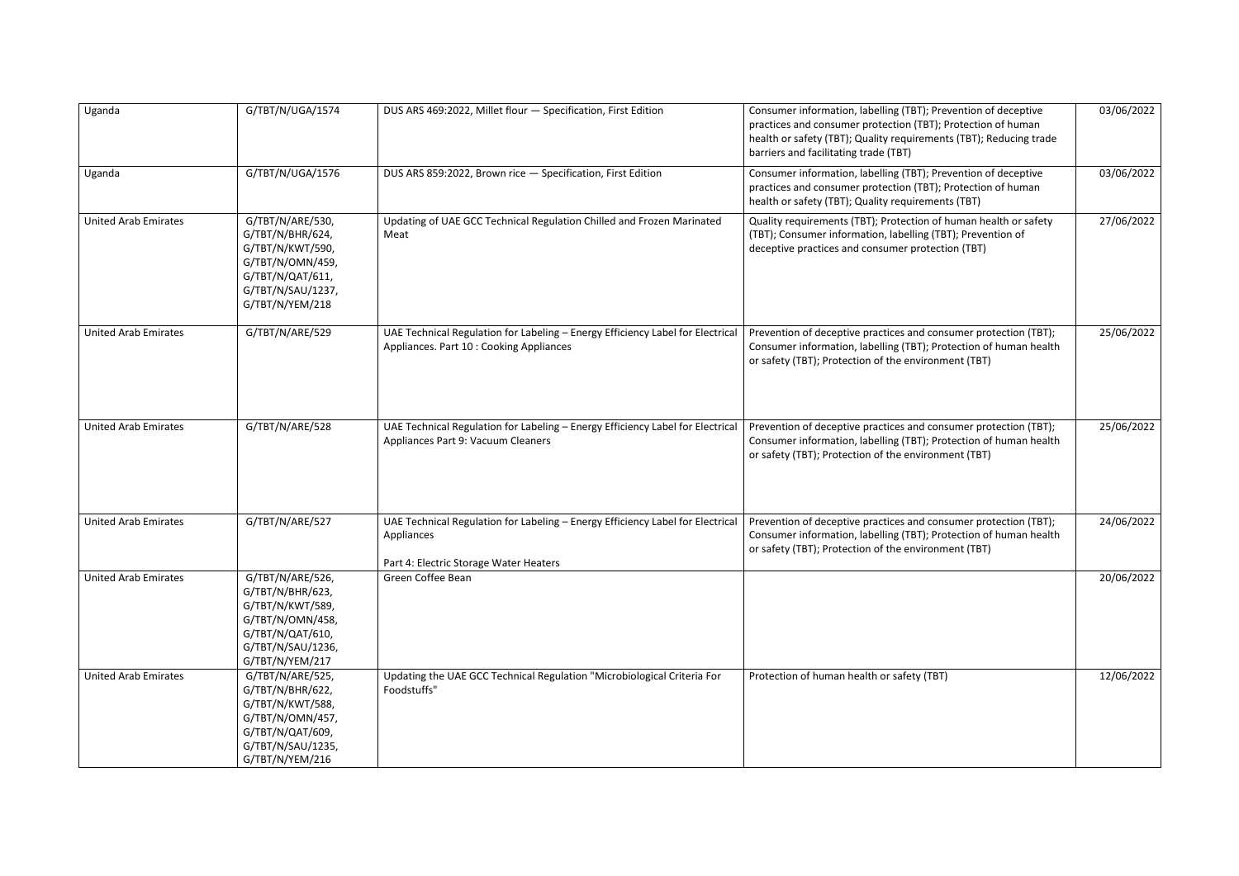| Uganda                      | G/TBT/N/UGA/1574                                                                                                                         | DUS ARS 469:2022, Millet flour - Specification, First Edition                                                                          | Consumer information, labelling (TBT); Prevention of deceptive<br>practices and consumer protection (TBT); Protection of human<br>health or safety (TBT); Quality requirements (TBT); Reducing trade<br>barriers and facilitating trade (TBT) | 03/06/2022 |
|-----------------------------|------------------------------------------------------------------------------------------------------------------------------------------|----------------------------------------------------------------------------------------------------------------------------------------|-----------------------------------------------------------------------------------------------------------------------------------------------------------------------------------------------------------------------------------------------|------------|
| Uganda                      | G/TBT/N/UGA/1576                                                                                                                         | DUS ARS 859:2022, Brown rice - Specification, First Edition                                                                            | Consumer information, labelling (TBT); Prevention of deceptive<br>practices and consumer protection (TBT); Protection of human<br>health or safety (TBT); Quality requirements (TBT)                                                          | 03/06/2022 |
| <b>United Arab Emirates</b> | G/TBT/N/ARE/530,<br>G/TBT/N/BHR/624,<br>G/TBT/N/KWT/590,<br>G/TBT/N/OMN/459,<br>G/TBT/N/QAT/611,<br>G/TBT/N/SAU/1237,<br>G/TBT/N/YEM/218 | Updating of UAE GCC Technical Regulation Chilled and Frozen Marinated<br>Meat                                                          | Quality requirements (TBT); Protection of human health or safety<br>(TBT); Consumer information, labelling (TBT); Prevention of<br>deceptive practices and consumer protection (TBT)                                                          | 27/06/2022 |
| <b>United Arab Emirates</b> | G/TBT/N/ARE/529                                                                                                                          | UAE Technical Regulation for Labeling - Energy Efficiency Label for Electrical<br>Appliances. Part 10 : Cooking Appliances             | Prevention of deceptive practices and consumer protection (TBT);<br>Consumer information, labelling (TBT); Protection of human health<br>or safety (TBT); Protection of the environment (TBT)                                                 | 25/06/2022 |
| <b>United Arab Emirates</b> | G/TBT/N/ARE/528                                                                                                                          | UAE Technical Regulation for Labeling - Energy Efficiency Label for Electrical<br>Appliances Part 9: Vacuum Cleaners                   | Prevention of deceptive practices and consumer protection (TBT);<br>Consumer information, labelling (TBT); Protection of human health<br>or safety (TBT); Protection of the environment (TBT)                                                 | 25/06/2022 |
| <b>United Arab Emirates</b> | G/TBT/N/ARE/527                                                                                                                          | UAE Technical Regulation for Labeling - Energy Efficiency Label for Electrical<br>Appliances<br>Part 4: Electric Storage Water Heaters | Prevention of deceptive practices and consumer protection (TBT);<br>Consumer information, labelling (TBT); Protection of human health<br>or safety (TBT); Protection of the environment (TBT)                                                 | 24/06/2022 |
| <b>United Arab Emirates</b> | G/TBT/N/ARE/526,<br>G/TBT/N/BHR/623,<br>G/TBT/N/KWT/589,<br>G/TBT/N/OMN/458,<br>G/TBT/N/QAT/610,<br>G/TBT/N/SAU/1236,<br>G/TBT/N/YEM/217 | Green Coffee Bean                                                                                                                      |                                                                                                                                                                                                                                               | 20/06/2022 |
| <b>United Arab Emirates</b> | G/TBT/N/ARE/525,<br>G/TBT/N/BHR/622,<br>G/TBT/N/KWT/588,<br>G/TBT/N/OMN/457,<br>G/TBT/N/QAT/609,<br>G/TBT/N/SAU/1235,<br>G/TBT/N/YEM/216 | Updating the UAE GCC Technical Regulation "Microbiological Criteria For<br>Foodstuffs"                                                 | Protection of human health or safety (TBT)                                                                                                                                                                                                    | 12/06/2022 |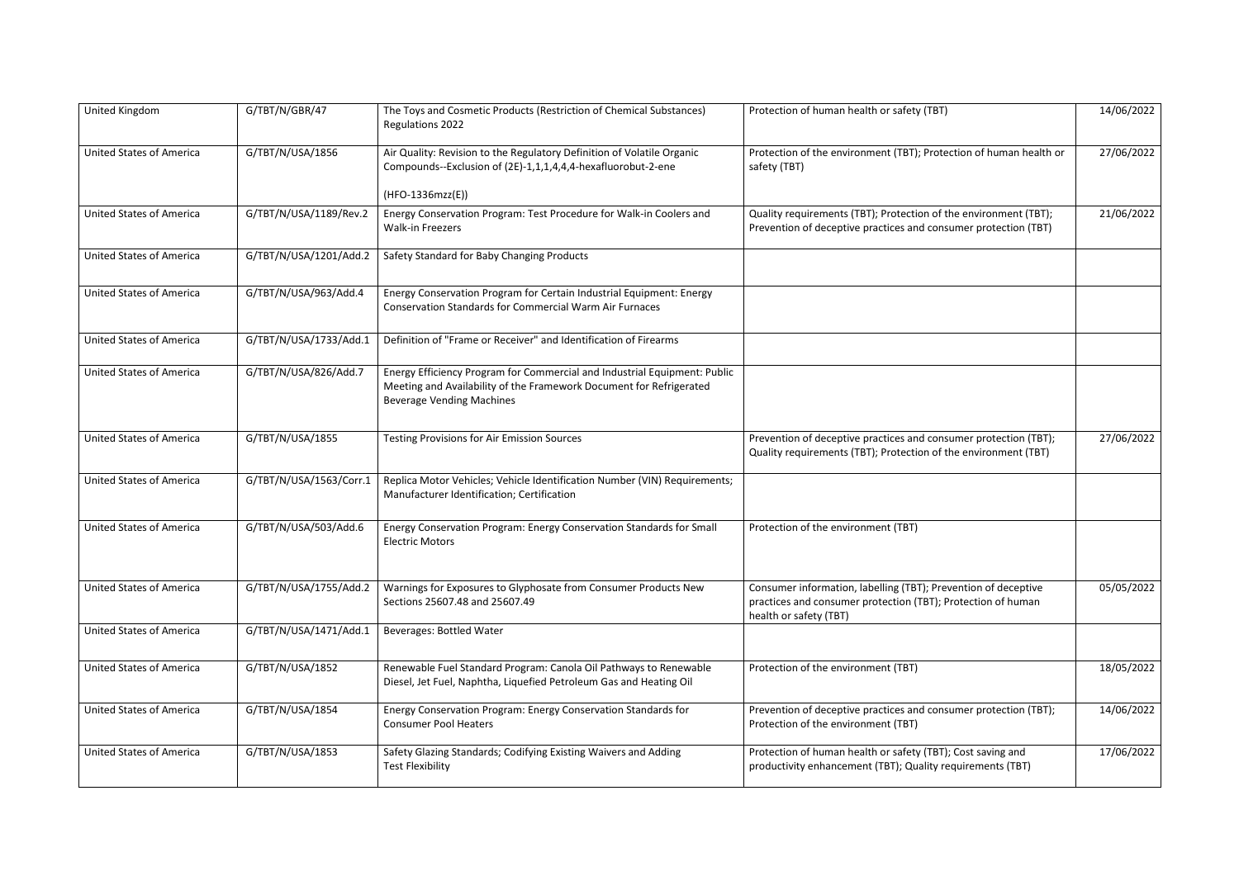| United Kingdom                  | G/TBT/N/GBR/47          | The Toys and Cosmetic Products (Restriction of Chemical Substances)<br>Regulations 2022                                                                                              | Protection of human health or safety (TBT)                                                                                                               | 14/06/2022 |
|---------------------------------|-------------------------|--------------------------------------------------------------------------------------------------------------------------------------------------------------------------------------|----------------------------------------------------------------------------------------------------------------------------------------------------------|------------|
| <b>United States of America</b> | G/TBT/N/USA/1856        | Air Quality: Revision to the Regulatory Definition of Volatile Organic<br>Compounds--Exclusion of (2E)-1,1,1,4,4,4-hexafluorobut-2-ene                                               | Protection of the environment (TBT); Protection of human health or<br>safety (TBT)                                                                       | 27/06/2022 |
| <b>United States of America</b> | G/TBT/N/USA/1189/Rev.2  | $(HFO-1336mzz(E))$<br>Energy Conservation Program: Test Procedure for Walk-in Coolers and<br><b>Walk-in Freezers</b>                                                                 | Quality requirements (TBT); Protection of the environment (TBT);<br>Prevention of deceptive practices and consumer protection (TBT)                      | 21/06/2022 |
| <b>United States of America</b> | G/TBT/N/USA/1201/Add.2  | Safety Standard for Baby Changing Products                                                                                                                                           |                                                                                                                                                          |            |
| <b>United States of America</b> | G/TBT/N/USA/963/Add.4   | Energy Conservation Program for Certain Industrial Equipment: Energy<br><b>Conservation Standards for Commercial Warm Air Furnaces</b>                                               |                                                                                                                                                          |            |
| <b>United States of America</b> | G/TBT/N/USA/1733/Add.1  | Definition of "Frame or Receiver" and Identification of Firearms                                                                                                                     |                                                                                                                                                          |            |
| <b>United States of America</b> | G/TBT/N/USA/826/Add.7   | Energy Efficiency Program for Commercial and Industrial Equipment: Public<br>Meeting and Availability of the Framework Document for Refrigerated<br><b>Beverage Vending Machines</b> |                                                                                                                                                          |            |
| <b>United States of America</b> | G/TBT/N/USA/1855        | <b>Testing Provisions for Air Emission Sources</b>                                                                                                                                   | Prevention of deceptive practices and consumer protection (TBT);<br>Quality requirements (TBT); Protection of the environment (TBT)                      | 27/06/2022 |
| <b>United States of America</b> | G/TBT/N/USA/1563/Corr.1 | Replica Motor Vehicles; Vehicle Identification Number (VIN) Requirements;<br>Manufacturer Identification; Certification                                                              |                                                                                                                                                          |            |
| <b>United States of America</b> | G/TBT/N/USA/503/Add.6   | Energy Conservation Program: Energy Conservation Standards for Small<br><b>Electric Motors</b>                                                                                       | Protection of the environment (TBT)                                                                                                                      |            |
| <b>United States of America</b> | G/TBT/N/USA/1755/Add.2  | Warnings for Exposures to Glyphosate from Consumer Products New<br>Sections 25607.48 and 25607.49                                                                                    | Consumer information, labelling (TBT); Prevention of deceptive<br>practices and consumer protection (TBT); Protection of human<br>health or safety (TBT) | 05/05/2022 |
| <b>United States of America</b> | G/TBT/N/USA/1471/Add.1  | <b>Beverages: Bottled Water</b>                                                                                                                                                      |                                                                                                                                                          |            |
| <b>United States of America</b> | G/TBT/N/USA/1852        | Renewable Fuel Standard Program: Canola Oil Pathways to Renewable<br>Diesel, Jet Fuel, Naphtha, Liquefied Petroleum Gas and Heating Oil                                              | Protection of the environment (TBT)                                                                                                                      | 18/05/2022 |
| <b>United States of America</b> | G/TBT/N/USA/1854        | Energy Conservation Program: Energy Conservation Standards for<br><b>Consumer Pool Heaters</b>                                                                                       | Prevention of deceptive practices and consumer protection (TBT);<br>Protection of the environment (TBT)                                                  | 14/06/2022 |
| <b>United States of America</b> | G/TBT/N/USA/1853        | Safety Glazing Standards; Codifying Existing Waivers and Adding<br><b>Test Flexibility</b>                                                                                           | Protection of human health or safety (TBT); Cost saving and<br>productivity enhancement (TBT); Quality requirements (TBT)                                | 17/06/2022 |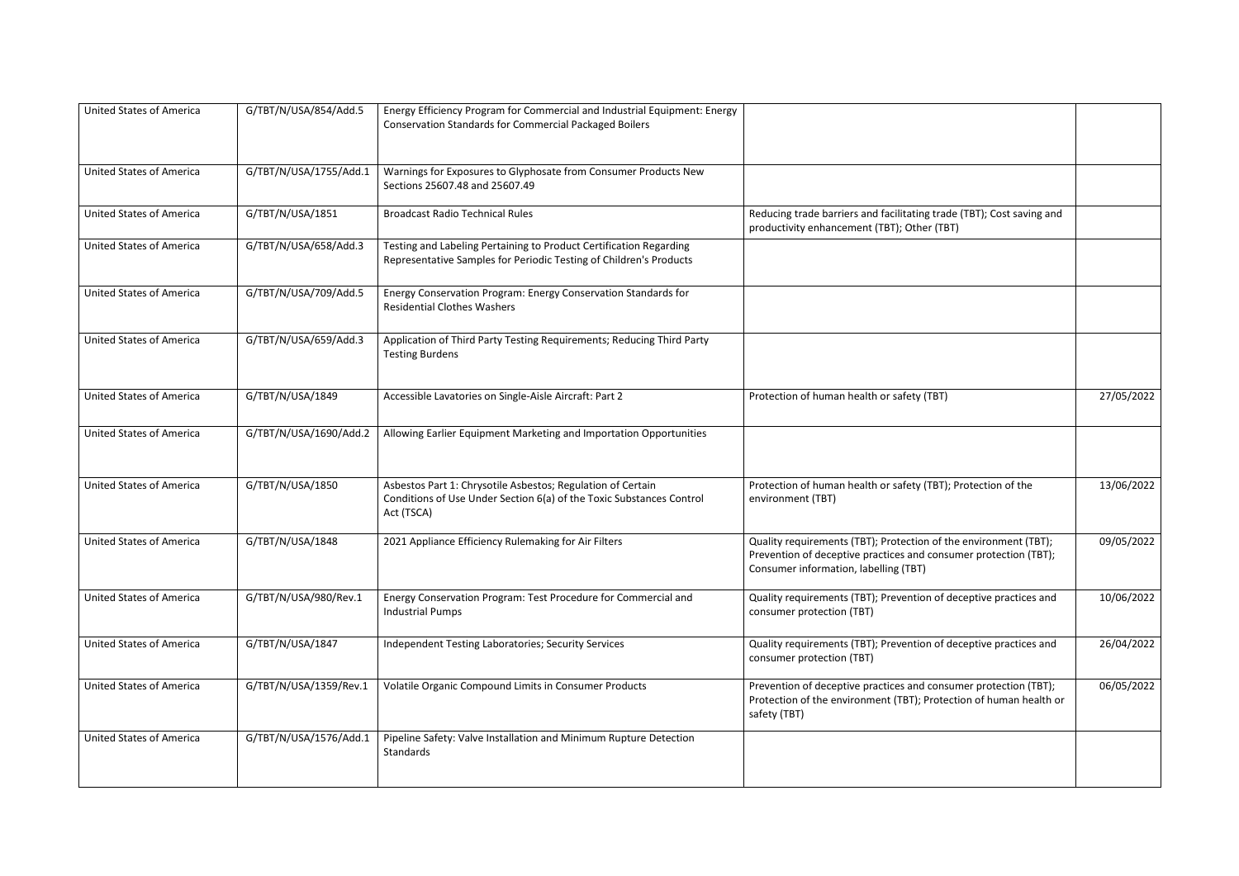| <b>United States of America</b> | G/TBT/N/USA/854/Add.5  | Energy Efficiency Program for Commercial and Industrial Equipment: Energy<br><b>Conservation Standards for Commercial Packaged Boilers</b>        |                                                                                                                                                                               |            |
|---------------------------------|------------------------|---------------------------------------------------------------------------------------------------------------------------------------------------|-------------------------------------------------------------------------------------------------------------------------------------------------------------------------------|------------|
| <b>United States of America</b> | G/TBT/N/USA/1755/Add.1 | Warnings for Exposures to Glyphosate from Consumer Products New<br>Sections 25607.48 and 25607.49                                                 |                                                                                                                                                                               |            |
| <b>United States of America</b> | G/TBT/N/USA/1851       | <b>Broadcast Radio Technical Rules</b>                                                                                                            | Reducing trade barriers and facilitating trade (TBT); Cost saving and<br>productivity enhancement (TBT); Other (TBT)                                                          |            |
| <b>United States of America</b> | G/TBT/N/USA/658/Add.3  | Testing and Labeling Pertaining to Product Certification Regarding<br>Representative Samples for Periodic Testing of Children's Products          |                                                                                                                                                                               |            |
| <b>United States of America</b> | G/TBT/N/USA/709/Add.5  | Energy Conservation Program: Energy Conservation Standards for<br><b>Residential Clothes Washers</b>                                              |                                                                                                                                                                               |            |
| <b>United States of America</b> | G/TBT/N/USA/659/Add.3  | Application of Third Party Testing Requirements; Reducing Third Party<br><b>Testing Burdens</b>                                                   |                                                                                                                                                                               |            |
| <b>United States of America</b> | G/TBT/N/USA/1849       | Accessible Lavatories on Single-Aisle Aircraft: Part 2                                                                                            | Protection of human health or safety (TBT)                                                                                                                                    | 27/05/2022 |
| <b>United States of America</b> | G/TBT/N/USA/1690/Add.2 | Allowing Earlier Equipment Marketing and Importation Opportunities                                                                                |                                                                                                                                                                               |            |
| <b>United States of America</b> | G/TBT/N/USA/1850       | Asbestos Part 1: Chrysotile Asbestos; Regulation of Certain<br>Conditions of Use Under Section 6(a) of the Toxic Substances Control<br>Act (TSCA) | Protection of human health or safety (TBT); Protection of the<br>environment (TBT)                                                                                            | 13/06/2022 |
| <b>United States of America</b> | G/TBT/N/USA/1848       | 2021 Appliance Efficiency Rulemaking for Air Filters                                                                                              | Quality requirements (TBT); Protection of the environment (TBT);<br>Prevention of deceptive practices and consumer protection (TBT);<br>Consumer information, labelling (TBT) | 09/05/2022 |
| <b>United States of America</b> | G/TBT/N/USA/980/Rev.1  | Energy Conservation Program: Test Procedure for Commercial and<br><b>Industrial Pumps</b>                                                         | Quality requirements (TBT); Prevention of deceptive practices and<br>consumer protection (TBT)                                                                                | 10/06/2022 |
| <b>United States of America</b> | G/TBT/N/USA/1847       | Independent Testing Laboratories; Security Services                                                                                               | Quality requirements (TBT); Prevention of deceptive practices and<br>consumer protection (TBT)                                                                                | 26/04/2022 |
| <b>United States of America</b> | G/TBT/N/USA/1359/Rev.1 | Volatile Organic Compound Limits in Consumer Products                                                                                             | Prevention of deceptive practices and consumer protection (TBT);<br>Protection of the environment (TBT); Protection of human health or<br>safety (TBT)                        | 06/05/2022 |
| <b>United States of America</b> | G/TBT/N/USA/1576/Add.1 | Pipeline Safety: Valve Installation and Minimum Rupture Detection<br>Standards                                                                    |                                                                                                                                                                               |            |